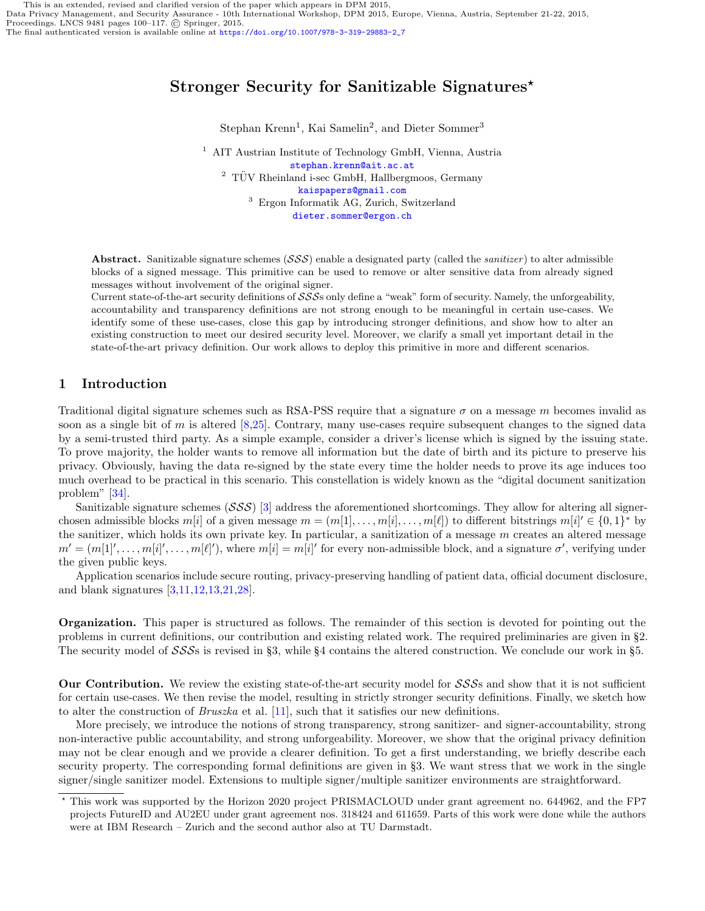This is an extended, revised and clarified version of the paper which appears in DPM 2015, Data Privacy Management, and Security Assurance - 10th International Workshop, DPM 2015, Europe, Vienna, Austria, September 21-22, 2015, Proceedings. LNCS 9481 pages 100–117. © Springer, 2015. The final authenticated version is available online at [https://doi.org/10.1007/978-3-319-29883-2\\_7](https://doi.org/10.1007/978-3-319-29883-2_7)

# Stronger Security for Sanitizable Signatures<sup>\*</sup>

Stephan Krenn<sup>1</sup>, Kai Samelin<sup>2</sup>, and Dieter Sommer<sup>3</sup>

<sup>1</sup> AIT Austrian Institute of Technology GmbH, Vienna, Austria [stephan.krenn@ait.ac.at](mailto:stephan.krenn@ait.ac.at?subject=Question About Your Paper )  $^2\,$  TÜV Rheinland i-sec GmbH, Hallbergmoos, Germany [kaispapers@gmail.com](mailto:kaispapers@gmail.com?subject=Question About Your Paper ) <sup>3</sup> Ergon Informatik AG, Zurich, Switzerland [dieter.sommer@ergon.ch](mailto:dieter.sommer@ergon.ch?subject=Question About Your Paper )

Abstract. Sanitizable signature schemes  $(SSS)$  enable a designated party (called the *sanitizer*) to alter admissible blocks of a signed message. This primitive can be used to remove or alter sensitive data from already signed messages without involvement of the original signer.

Current state-of-the-art security definitions of SSSs only define a "weak" form of security. Namely, the unforgeability, accountability and transparency definitions are not strong enough to be meaningful in certain use-cases. We identify some of these use-cases, close this gap by introducing stronger definitions, and show how to alter an existing construction to meet our desired security level. Moreover, we clarify a small yet important detail in the state-of-the-art privacy definition. Our work allows to deploy this primitive in more and different scenarios.

# <span id="page-0-0"></span>1 Introduction

Traditional digital signature schemes such as RSA-PSS require that a signature  $\sigma$  on a message m becomes invalid as soon as a single bit of m is altered  $[8,25]$  $[8,25]$ . Contrary, many use-cases require subsequent changes to the signed data by a semi-trusted third party. As a simple example, consider a driver's license which is signed by the issuing state. To prove majority, the holder wants to remove all information but the date of birth and its picture to preserve his privacy. Obviously, having the data re-signed by the state every time the holder needs to prove its age induces too much overhead to be practical in this scenario. This constellation is widely known as the "digital document sanitization problem" [\[34\]](#page-15-1).

Sanitizable signature schemes  $(SSS)$  [\[3\]](#page-14-1) address the aforementioned shortcomings. They allow for altering all signerchosen admissible blocks  $m[i]$  of a given message  $m = (m[1], \ldots, m[i], \ldots, m[\ell])$  to different bitstrings  $m[i] \in \{0,1\}^*$  by the sanitizer, which holds its own private key. In particular, a sanitization of a message  $m$  creates an altered message  $m' = (m[1]', \ldots, m[i]', \ldots, m[\ell]'),$  where  $m[i] = m[i]'$  for every non-admissible block, and a signature  $\sigma'$ , verifying under the given public keys.

Application scenarios include secure routing, privacy-preserving handling of patient data, official document disclosure, and blank signatures [\[3,](#page-14-1)[11](#page-14-2)[,12,](#page-14-3)[13,](#page-14-4)[21,](#page-15-2)[28\]](#page-15-3).

Organization. This paper is structured as follows. The remainder of this section is devoted for pointing out the problems in current definitions, our contribution and existing related work. The required preliminaries are given in §[2.](#page-3-0) The security model of  $SSS$ s is revised in §[3,](#page-4-0) while §[4](#page-13-0) contains the altered construction. We conclude our work in §[5.](#page-14-5)

Our Contribution. We review the existing state-of-the-art security model for  $SSSs$  and show that it is not sufficient for certain use-cases. We then revise the model, resulting in strictly stronger security definitions. Finally, we sketch how to alter the construction of Bruszka et al. [\[11\]](#page-14-2), such that it satisfies our new definitions.

More precisely, we introduce the notions of strong transparency, strong sanitizer- and signer-accountability, strong non-interactive public accountability, and strong unforgeability. Moreover, we show that the original privacy definition may not be clear enough and we provide a clearer definition. To get a first understanding, we briefly describe each security property. The corresponding formal definitions are given in §[3.](#page-4-0) We want stress that we work in the single signer/single sanitizer model. Extensions to multiple signer/multiple sanitizer environments are straightforward.

<sup>?</sup> This work was supported by the Horizon 2020 project PRISMACLOUD under grant agreement no. 644962, and the FP7 projects FutureID and AU2EU under grant agreement nos. 318424 and 611659. Parts of this work were done while the authors were at IBM Research – Zurich and the second author also at TU Darmstadt.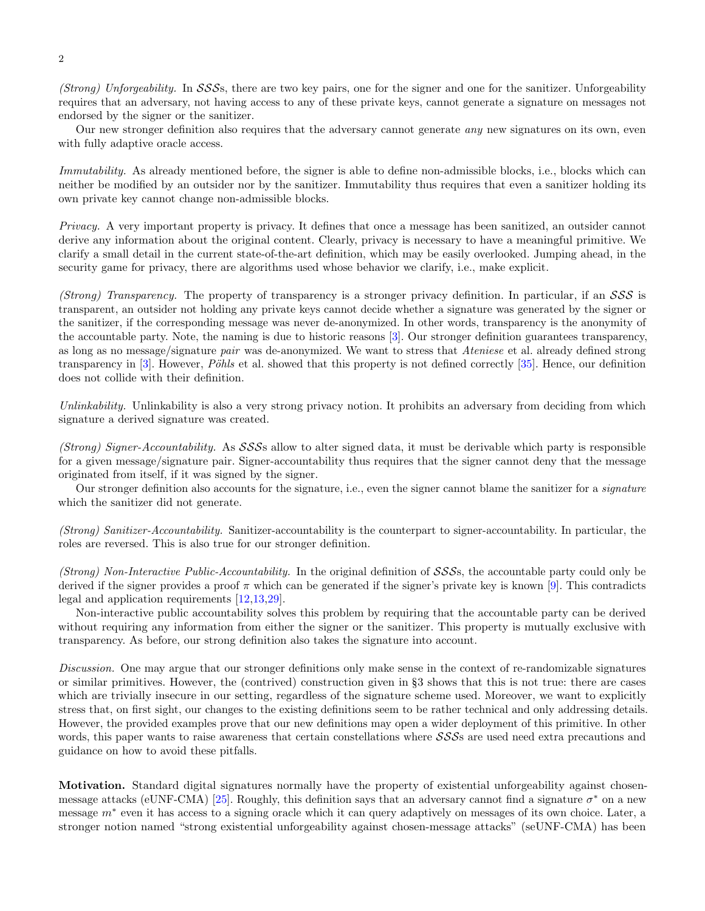(Strong) Unforgeability. In SSSs, there are two key pairs, one for the signer and one for the sanitizer. Unforgeability requires that an adversary, not having access to any of these private keys, cannot generate a signature on messages not endorsed by the signer or the sanitizer.

Our new stronger definition also requires that the adversary cannot generate any new signatures on its own, even with fully adaptive oracle access.

Immutability. As already mentioned before, the signer is able to define non-admissible blocks, i.e., blocks which can neither be modified by an outsider nor by the sanitizer. Immutability thus requires that even a sanitizer holding its own private key cannot change non-admissible blocks.

Privacy. A very important property is privacy. It defines that once a message has been sanitized, an outsider cannot derive any information about the original content. Clearly, privacy is necessary to have a meaningful primitive. We clarify a small detail in the current state-of-the-art definition, which may be easily overlooked. Jumping ahead, in the security game for privacy, there are algorithms used whose behavior we clarify, i.e., make explicit.

(Strong) Transparency. The property of transparency is a stronger privacy definition. In particular, if an SSS is transparent, an outsider not holding any private keys cannot decide whether a signature was generated by the signer or the sanitizer, if the corresponding message was never de-anonymized. In other words, transparency is the anonymity of the accountable party. Note, the naming is due to historic reasons [\[3\]](#page-14-1). Our stronger definition guarantees transparency, as long as no message/signature pair was de-anonymized. We want to stress that Ateniese et al. already defined strong transparency in  $[3]$ . However, Pöhls et al. showed that this property is not defined correctly  $[35]$ . Hence, our definition does not collide with their definition.

Unlinkability. Unlinkability is also a very strong privacy notion. It prohibits an adversary from deciding from which signature a derived signature was created.

(Strong) Signer-Accountability. As SSSs allow to alter signed data, it must be derivable which party is responsible for a given message/signature pair. Signer-accountability thus requires that the signer cannot deny that the message originated from itself, if it was signed by the signer.

Our stronger definition also accounts for the signature, i.e., even the signer cannot blame the sanitizer for a signature which the sanitizer did not generate.

(Strong) Sanitizer-Accountability. Sanitizer-accountability is the counterpart to signer-accountability. In particular, the roles are reversed. This is also true for our stronger definition.

(Strong) Non-Interactive Public-Accountability. In the original definition of  $SSS$ s, the accountable party could only be derived if the signer provides a proof  $\pi$  which can be generated if the signer's private key is known [\[9\]](#page-14-6). This contradicts legal and application requirements [\[12,](#page-14-3)[13,](#page-14-4)[29\]](#page-15-5).

Non-interactive public accountability solves this problem by requiring that the accountable party can be derived without requiring any information from either the signer or the sanitizer. This property is mutually exclusive with transparency. As before, our strong definition also takes the signature into account.

Discussion. One may argue that our stronger definitions only make sense in the context of re-randomizable signatures or similar primitives. However, the (contrived) construction given in §[3](#page-4-0) shows that this is not true: there are cases which are trivially insecure in our setting, regardless of the signature scheme used. Moreover, we want to explicitly stress that, on first sight, our changes to the existing definitions seem to be rather technical and only addressing details. However, the provided examples prove that our new definitions may open a wider deployment of this primitive. In other words, this paper wants to raise awareness that certain constellations where  $SSS$ s are used need extra precautions and guidance on how to avoid these pitfalls.

Motivation. Standard digital signatures normally have the property of existential unforgeability against chosen-message attacks (eUNF-CMA) [\[25\]](#page-15-0). Roughly, this definition says that an adversary cannot find a signature  $\sigma^*$  on a new message m<sup>∗</sup> even it has access to a signing oracle which it can query adaptively on messages of its own choice. Later, a stronger notion named "strong existential unforgeability against chosen-message attacks" (seUNF-CMA) has been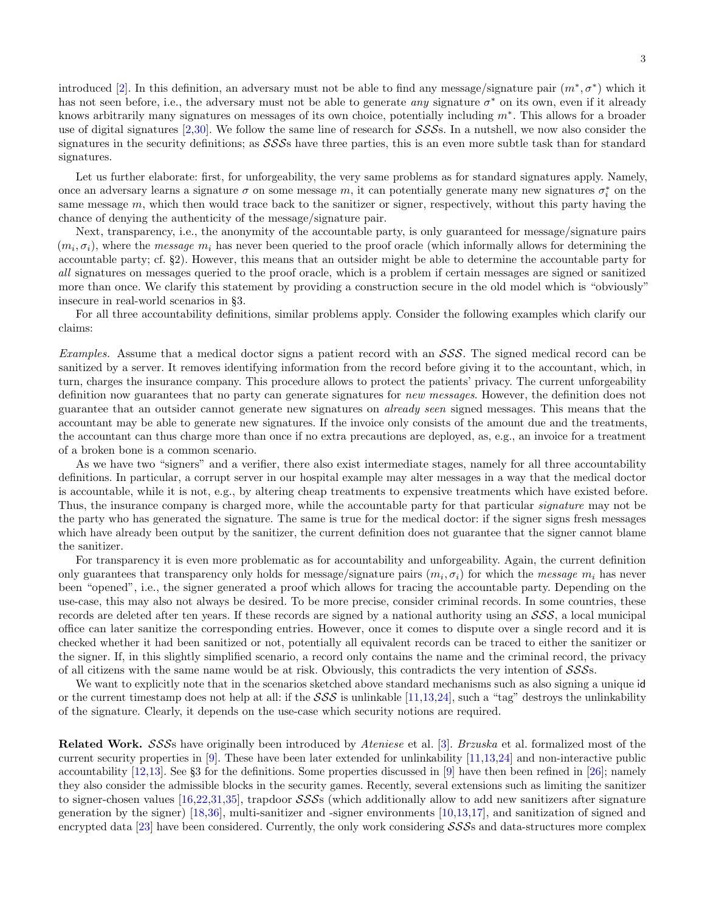introduced [\[2\]](#page-14-7). In this definition, an adversary must not be able to find any message/signature pair  $(m^*, \sigma^*)$  which it has not seen before, i.e., the adversary must not be able to generate *any* signature  $\sigma^*$  on its own, even if it already knows arbitrarily many signatures on messages of its own choice, potentially including m<sup>∗</sup> . This allows for a broader use of digital signatures  $[2,30]$  $[2,30]$ . We follow the same line of research for  $SSS$ s. In a nutshell, we now also consider the signatures in the security definitions; as  $SSSs$  have three parties, this is an even more subtle task than for standard signatures.

Let us further elaborate: first, for unforgeability, the very same problems as for standard signatures apply. Namely, once an adversary learns a signature  $\sigma$  on some message  $m$ , it can potentially generate many new signatures  $\sigma_i^*$  on the same message  $m$ , which then would trace back to the sanitizer or signer, respectively, without this party having the chance of denying the authenticity of the message/signature pair.

Next, transparency, i.e., the anonymity of the accountable party, is only guaranteed for message/signature pairs  $(m_i, \sigma_i)$ , where the *message*  $m_i$  has never been queried to the proof oracle (which informally allows for determining the accountable party; cf. §[2\)](#page-3-0). However, this means that an outsider might be able to determine the accountable party for all signatures on messages queried to the proof oracle, which is a problem if certain messages are signed or sanitized more than once. We clarify this statement by providing a construction secure in the old model which is "obviously" insecure in real-world scenarios in §[3.](#page-4-0)

For all three accountability definitions, similar problems apply. Consider the following examples which clarify our claims:

Examples. Assume that a medical doctor signs a patient record with an SSS. The signed medical record can be sanitized by a server. It removes identifying information from the record before giving it to the accountant, which, in turn, charges the insurance company. This procedure allows to protect the patients' privacy. The current unforgeability definition now guarantees that no party can generate signatures for *new messages*. However, the definition does not guarantee that an outsider cannot generate new signatures on already seen signed messages. This means that the accountant may be able to generate new signatures. If the invoice only consists of the amount due and the treatments, the accountant can thus charge more than once if no extra precautions are deployed, as, e.g., an invoice for a treatment of a broken bone is a common scenario.

As we have two "signers" and a verifier, there also exist intermediate stages, namely for all three accountability definitions. In particular, a corrupt server in our hospital example may alter messages in a way that the medical doctor is accountable, while it is not, e.g., by altering cheap treatments to expensive treatments which have existed before. Thus, the insurance company is charged more, while the accountable party for that particular *signature* may not be the party who has generated the signature. The same is true for the medical doctor: if the signer signs fresh messages which have already been output by the sanitizer, the current definition does not guarantee that the signer cannot blame the sanitizer.

For transparency it is even more problematic as for accountability and unforgeability. Again, the current definition only guarantees that transparency only holds for message/signature pairs  $(m_i, \sigma_i)$  for which the message  $m_i$  has never been "opened", i.e., the signer generated a proof which allows for tracing the accountable party. Depending on the use-case, this may also not always be desired. To be more precise, consider criminal records. In some countries, these records are deleted after ten years. If these records are signed by a national authority using an  $SSS$ , a local municipal office can later sanitize the corresponding entries. However, once it comes to dispute over a single record and it is checked whether it had been sanitized or not, potentially all equivalent records can be traced to either the sanitizer or the signer. If, in this slightly simplified scenario, a record only contains the name and the criminal record, the privacy of all citizens with the same name would be at risk. Obviously, this contradicts the very intention of  $SSS$ s.

We want to explicitly note that in the scenarios sketched above standard mechanisms such as also signing a unique id or the current timestamp does not help at all: if the  $SSS$  is unlinkable [\[11,](#page-14-2)[13](#page-14-4)[,24\]](#page-15-7), such a "tag" destroys the unlinkability of the signature. Clearly, it depends on the use-case which security notions are required.

**Related Work.** SSSs have originally been introduced by *Ateniese* et al. [\[3\]](#page-14-1). *Brzuska* et al. formalized most of the current security properties in  $[9]$ . These have been later extended for unlinkability  $[11,13,24]$  $[11,13,24]$  $[11,13,24]$  and non-interactive public accountability [\[12](#page-14-3)[,13\]](#page-14-4). See §[3](#page-4-0) for the definitions. Some properties discussed in [\[9\]](#page-14-6) have then been refined in [\[26\]](#page-15-8); namely they also consider the admissible blocks in the security games. Recently, several extensions such as limiting the sanitizer to signer-chosen values  $[16,22,31,35]$  $[16,22,31,35]$  $[16,22,31,35]$  $[16,22,31,35]$ , trapdoor  $SSS$ s (which additionally allow to add new sanitizers after signature generation by the signer) [\[18](#page-15-12)[,36\]](#page-15-13), multi-sanitizer and -signer environments [\[10,](#page-14-8)[13,](#page-14-4)[17\]](#page-15-14), and sanitization of signed and encrypted data  $[23]$  have been considered. Currently, the only work considering  $SSS$ s and data-structures more complex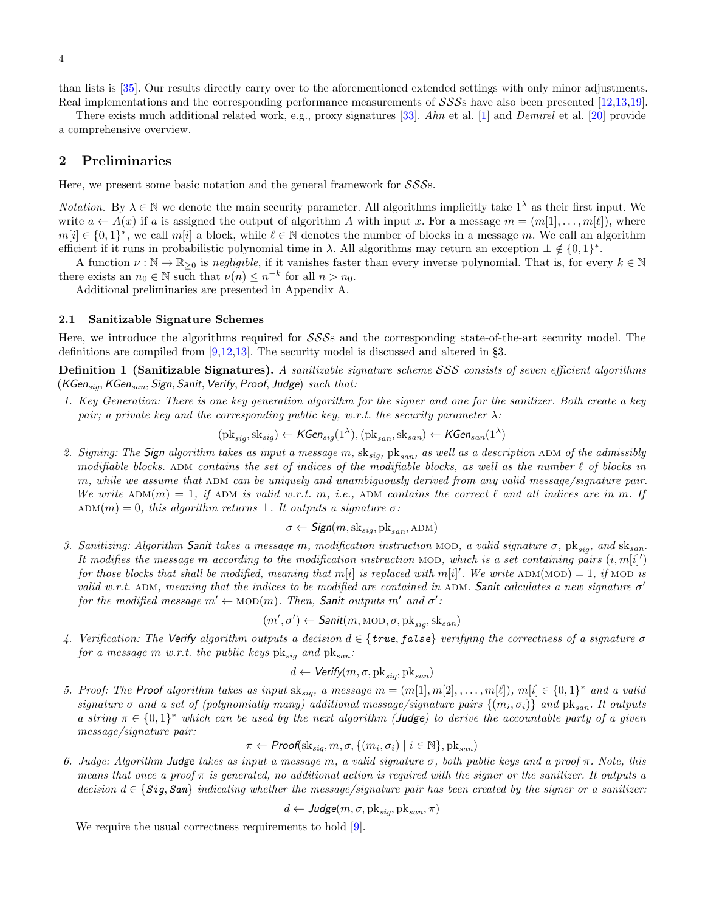than lists is [\[35\]](#page-15-4). Our results directly carry over to the aforementioned extended settings with only minor adjustments. Real implementations and the corresponding performance measurements of  $SSS$ s have also been presented [\[12,](#page-14-3)[13,](#page-14-4)[19\]](#page-15-16).

There exists much additional related work, e.g., proxy signatures [\[33\]](#page-15-17). Ahn et al. [\[1\]](#page-14-9) and Demirel et al. [\[20\]](#page-15-18) provide a comprehensive overview.

### <span id="page-3-0"></span>2 Preliminaries

Here, we present some basic notation and the general framework for SSSs.

*Notation.* By  $\lambda \in \mathbb{N}$  we denote the main security parameter. All algorithms implicitly take  $1^{\lambda}$  as their first input. We write  $a \leftarrow A(x)$  if a is assigned the output of algorithm A with input x. For a message  $m = (m[1], \ldots, m[\ell])$ , where  $m[i] \in \{0,1\}^*$ , we call  $m[i]$  a block, while  $\ell \in \mathbb{N}$  denotes the number of blocks in a message m. We call an algorithm efficient if it runs in probabilistic polynomial time in  $\lambda$ . All algorithms may return an exception  $\bot \notin \{0,1\}^*$ .

A function  $\nu : \mathbb{N} \to \mathbb{R}_{\geq 0}$  is negligible, if it vanishes faster than every inverse polynomial. That is, for every  $k \in \mathbb{N}$ there exists an  $n_0 \in \mathbb{N}$  such that  $\nu(n) \leq n^{-k}$  for all  $n > n_0$ .

Additional preliminaries are presented in Appendix [A.](#page-15-19)

#### 2.1 Sanitizable Signature Schemes

Here, we introduce the algorithms required for  $SSSs$  and the corresponding state-of-the-art security model. The definitions are compiled from  $[9,12,13]$  $[9,12,13]$  $[9,12,13]$ . The security model is discussed and altered in §[3.](#page-4-0)

Definition 1 (Sanitizable Signatures). A sanitizable signature scheme SSS consists of seven efficient algorithms  $(KGen_{sig}, KGen_{san}, Sign, Sanit, Verify, Proof, Judge) such that:$ 

1. Key Generation: There is one key generation algorithm for the signer and one for the sanitizer. Both create a key pair; a private key and the corresponding public key, w.r.t. the security parameter  $\lambda$ :

 $(\text{pk}_{sig}, \text{sk}_{sig}) \leftarrow \text{KGen}_{sig}(1^{\lambda}), (\text{pk}_{san}, \text{sk}_{san}) \leftarrow \text{KGen}_{san}(1^{\lambda})$ 

2. Signing: The Sign algorithm takes as input a message m,  $sk_{sig}$ ,  $pk_{san}$ , as well as a description ADM of the admissibly modifiable blocks. ADM contains the set of indices of the modifiable blocks, as well as the number  $\ell$  of blocks in  $m$ , while we assume that ADM can be uniquely and unambiguously derived from any valid message/signature pair. We write  $ADM(m) = 1$ , if  $ADM$  is valid w.r.t. m, i.e.,  $ADM$  contains the correct  $\ell$  and all indices are in m. If  $ADM(m) = 0$ , this algorithm returns  $\perp$ . It outputs a signature  $\sigma$ :

$$
\sigma \leftarrow \mathsf{Sign}(m, \mathsf{sk}_{\mathit{sig}}, \allowbreak \mathsf{pk}_{\mathit{san}}, \mathsf{ADM})
$$

3. Sanitizing: Algorithm Sanit takes a message m, modification instruction MOD, a valid signature  $\sigma$ , pk<sub>sia</sub>, and sk<sub>san</sub>. It modifies the message m according to the modification instruction MOD, which is a set containing pairs  $(i, m[i])$ for those blocks that shall be modified, meaning that m[i] is replaced with m[i]'. We write ADM(MOD) = 1, if MOD is valid w.r.t. ADM, meaning that the indices to be modified are contained in ADM. Sanit calculates a new signature  $\sigma'$ for the modified message  $m' \leftarrow \text{MOD}(m)$ . Then, Sanit outputs m' and  $\sigma'$ :

$$
(m', \sigma') \leftarrow \textit{Sanit}(m, \text{MOD}, \sigma, \text{pk}_{\textit{sig}}, \text{sk}_{\textit{san}})
$$

4. Verification: The Verify algorithm outputs a decision  $d \in \{true, false\}$  verifying the correctness of a signature  $\sigma$ for a message m w.r.t. the public keys  $pk_{sig}$  and  $pk_{san}$ :

$$
d \leftarrow \text{Verify}(m, \sigma, \text{pk}_{sig}, \text{pk}_{san})
$$

5. Proof: The Proof algorithm takes as input  $sk_{sig}$ , a message  $m = (m[1], m[2], \ldots, m[\ell])$ ,  $m[i] \in \{0, 1\}^*$  and a valid signature  $\sigma$  and a set of (polynomially many) additional message/signature pairs  $\{(m_i, \sigma_i)\}\$ and  $\mathrm{pk}_{san}$ . It outputs a string  $\pi \in \{0,1\}^*$  which can be used by the next algorithm (**Judge**) to derive the accountable party of a given message/signature pair:

$$
\pi \leftarrow \text{Proof}(\text{sk}_{\text{sig}}, m, \sigma, \{(m_i, \sigma_i) \mid i \in \mathbb{N}\}, \text{pk}_{\text{san}})
$$

6. Judge: Algorithm Judge takes as input a message m, a valid signature  $\sigma$ , both public keys and a proof  $\pi$ . Note, this means that once a proof  $\pi$  is generated, no additional action is required with the signer or the sanitizer. It outputs a decision  $d \in \{Sig, San\}$  indicating whether the message/signature pair has been created by the signer or a sanitizer:

$$
d \leftarrow \textit{Judge}(m, \sigma, \text{pk}_{\textit{sig}}, \text{pk}_{\textit{san}}, \pi)
$$

We require the usual correctness requirements to hold  $[9]$ .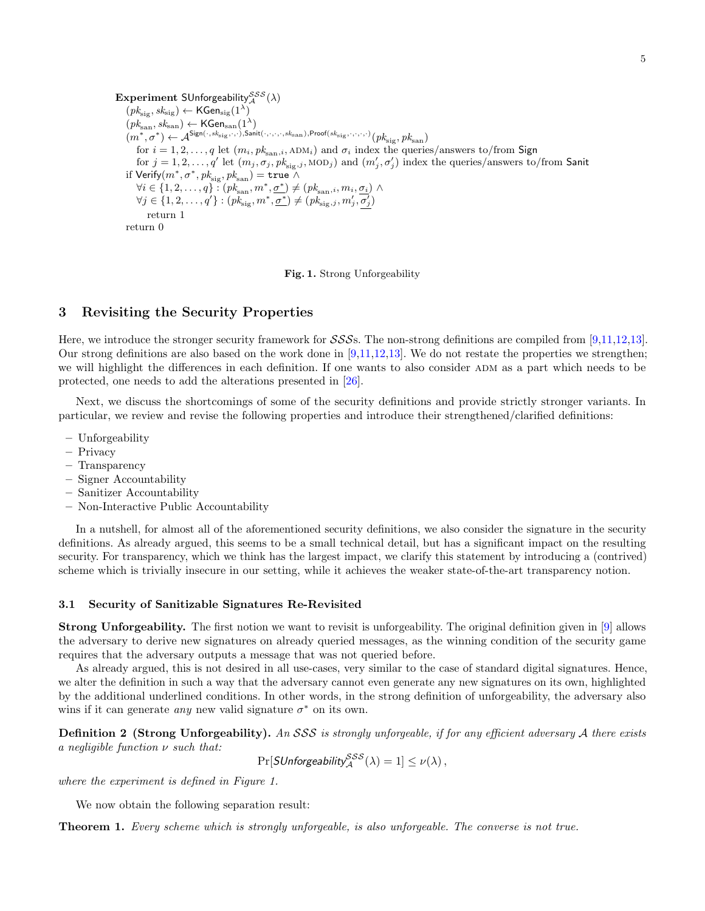${\bf Experiment~S}$ Unforgeability $^{SSS}_{\mathcal{A}}(\lambda)$  $(\mathit{pk}_{\text{sig}},\mathit{sk}_{\text{sig}}) \leftarrow \mathsf{KGen}_{\text{sig}}(1^\lambda)$  $(\mathit{pk}_{\mathrm{san}}, \mathit{sk}_{\mathrm{san}}) \leftarrow \mathsf{KGen}_{\mathrm{san}}(1^{\lambda})$  $(m^*, \sigma^*) \leftarrow \mathcal{A}^{\mathsf{Sign}(\cdot, sk_{\text{sig}}, \cdot, \cdot), \mathsf{Sanit}(\cdot, \cdot, \cdot, , sk_{\text{san}}), \mathsf{Proof}(sk_{\text{sig}}, \cdot, \cdot, \cdot, \cdot)}(pk_{\text{sig}}, pk_{\text{san}})$ for  $i = 1, 2, ..., q$  let  $(m_i, pk_{\text{san},i}, \text{ADM}_i)$  and  $\sigma_i$  index the queries/answers to/from Sign for  $j = 1, 2, ..., q'$  let  $(m_j, \sigma_j, pk_{\text{sig},j}, \text{MOD}_j)$  and  $(m'_j, \sigma'_j)$  index the queries/answers to/from Sanit if  $\mathsf{Verify}(m^*,\sigma^*,\mathit{pk}_{\text{sig}},\mathit{pk}_{\text{san}}) = \mathtt{true} \; \wedge$  $\forall i \in \{1, 2, \ldots, q\} : (pk_{\text{san}}, m^*, \underline{\sigma^*}) \neq (pk_{\text{san}}, i, m_i, \underline{\sigma_i}) \land$  $\forall j \in \{1, 2, \ldots, q'\} : (pk_{\text{sig}}, m^*, \underline{\sigma}^*) \neq (pk_{\text{sig},j}, m'_j, \overline{\sigma'_j})$ return 1 return 0

<span id="page-4-1"></span>Fig. 1. Strong Unforgeability

# <span id="page-4-0"></span>3 Revisiting the Security Properties

Here, we introduce the stronger security framework for  $SSS$ s. The non-strong definitions are compiled from [\[9,](#page-14-6)[11](#page-14-2)[,12,](#page-14-3)[13\]](#page-14-4). Our strong definitions are also based on the work done in  $[9,11,12,13]$  $[9,11,12,13]$  $[9,11,12,13]$  $[9,11,12,13]$ . We do not restate the properties we strengthen; we will highlight the differences in each definition. If one wants to also consider ADM as a part which needs to be protected, one needs to add the alterations presented in [\[26\]](#page-15-8).

Next, we discuss the shortcomings of some of the security definitions and provide strictly stronger variants. In particular, we review and revise the following properties and introduce their strengthened/clarified definitions:

- Unforgeability
- Privacy
- Transparency
- Signer Accountability
- Sanitizer Accountability
- Non-Interactive Public Accountability

In a nutshell, for almost all of the aforementioned security definitions, we also consider the signature in the security definitions. As already argued, this seems to be a small technical detail, but has a significant impact on the resulting security. For transparency, which we think has the largest impact, we clarify this statement by introducing a (contrived) scheme which is trivially insecure in our setting, while it achieves the weaker state-of-the-art transparency notion.

#### 3.1 Security of Sanitizable Signatures Re-Revisited

Strong Unforgeability. The first notion we want to revisit is unforgeability. The original definition given in [\[9\]](#page-14-6) allows the adversary to derive new signatures on already queried messages, as the winning condition of the security game requires that the adversary outputs a message that was not queried before.

As already argued, this is not desired in all use-cases, very similar to the case of standard digital signatures. Hence, we alter the definition in such a way that the adversary cannot even generate any new signatures on its own, highlighted by the additional underlined conditions. In other words, in the strong definition of unforgeability, the adversary also wins if it can generate *any* new valid signature  $\sigma^*$  on its own.

**Definition 2 (Strong Unforgeability).** An SSS is strongly unforgeable, if for any efficient adversary  $A$  there exists a negligible function  $\nu$  such that:

<span id="page-4-2"></span> $\Pr[\textit{SUnforgetability}_{\mathcal{A}}^{\mathcal{S}\mathcal{S}\mathcal{S}}(\lambda)=1]\leq \nu(\lambda)\,,$ 

where the experiment is defined in Figure [1.](#page-4-1)

We now obtain the following separation result:

**Theorem 1.** Every scheme which is strongly unforgeable, is also unforgeable. The converse is not true.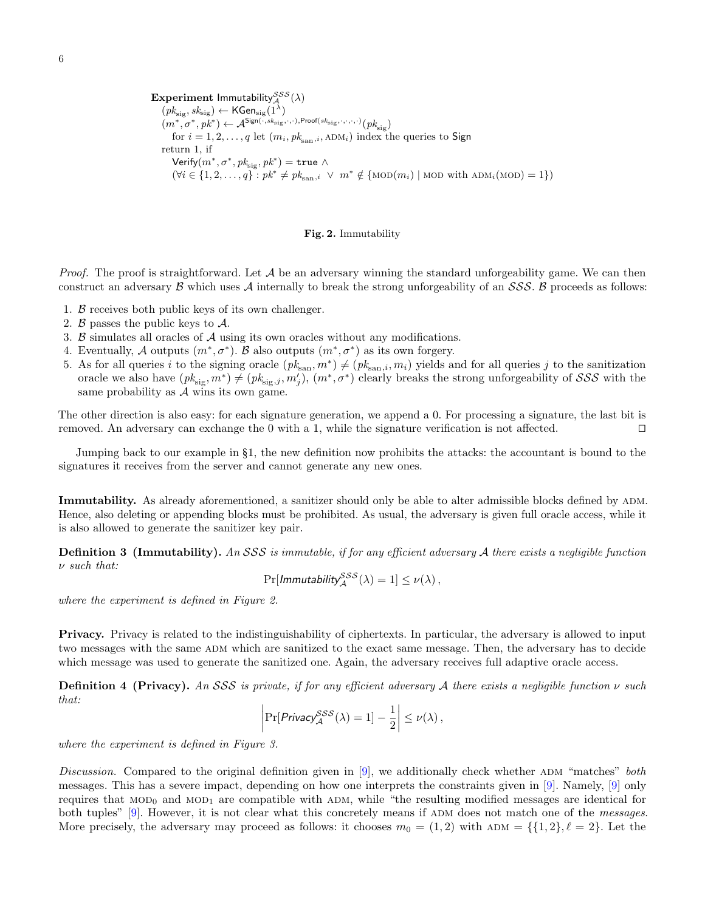${\bf Experiment\,\,lmmutability}_{\cal A}^{\cal SSS}(\lambda)$  $(\mathit{pk}_{\text{sig}},\mathit{sk}_{\text{sig}}) \leftarrow \mathsf{KGen}_{\text{sig}}(1^{\lambda})$  $(m^*, \sigma^*, p k^*) \leftarrow \mathcal{A}^{\mathsf{Sign}(\cdot, sk_{\text{sig}}, \cdot, \cdot), \mathsf{Proof}(sk_{\text{sig}}, \cdot, \cdot, \cdot, \cdot)}(pk_{\text{sig}})$ for  $i = 1, 2, \ldots, q$  let  $(m_i, pk_{\text{san},i}, \text{ADM}_i)$  index the queries to Sign return 1, if Verify $(m^*, \sigma^*, \mathit{pk}_{\text{sig}}, \mathit{pk}^*) = \texttt{true} \land$  $(\forall i \in \{1, 2, \ldots, q\}$ :  $pk^* \neq pk_{\text{san},i} \lor m^* \notin \{\text{MOD}(m_i) \mid \text{MOD with ADM}_i(\text{MOD})=1\})$ 

#### <span id="page-5-0"></span>Fig. 2. Immutability

*Proof.* The proof is straightforward. Let  $A$  be an adversary winning the standard unforgeability game. We can then construct an adversary  $\beta$  which uses  $\mathcal A$  internally to break the strong unforgeability of an SSS.  $\beta$  proceeds as follows:

- 1. B receives both public keys of its own challenger.
- 2.  $\beta$  passes the public keys to  $\mathcal{A}$ .
- 3.  $\beta$  simulates all oracles of  $\mathcal A$  using its own oracles without any modifications.
- 4. Eventually, A outputs  $(m^*, \sigma^*)$ . B also outputs  $(m^*, \sigma^*)$  as its own forgery.
- 5. As for all queries i to the signing oracle  $(pk_{\text{san}}, m^*) \neq (pk_{\text{san},i}, m_i)$  yields and for all queries j to the sanitization oracle we also have  $(pk_{\text{sig}}, m^*) \neq (pk_{\text{sig},j}, m'_j), (m^*, \sigma^*)$  clearly breaks the strong unforgeability of SSS with the same probability as  $A$  wins its own game.

The other direction is also easy: for each signature generation, we append a 0. For processing a signature, the last bit is removed. An adversary can exchange the 0 with a 1, while the signature verification is not affected.  $\square$ 

Jumping back to our example in §[1,](#page-0-0) the new definition now prohibits the attacks: the accountant is bound to the signatures it receives from the server and cannot generate any new ones.

Immutability. As already aforementioned, a sanitizer should only be able to alter admissible blocks defined by ADM. Hence, also deleting or appending blocks must be prohibited. As usual, the adversary is given full oracle access, while it is also allowed to generate the sanitizer key pair.

**Definition 3 (Immutability).** An SSS is immutable, if for any efficient adversary A there exists a negligible function ν such that:

$$
\Pr[Immutability_{\mathcal{A}}^{SSS}(\lambda) = 1] \leq \nu(\lambda),
$$

where the experiment is defined in Figure [2.](#page-5-0)

Privacy. Privacy is related to the indistinguishability of ciphertexts. In particular, the adversary is allowed to input two messages with the same adm which are sanitized to the exact same message. Then, the adversary has to decide which message was used to generate the sanitized one. Again, the adversary receives full adaptive oracle access.

**Definition 4 (Privacy).** An SSS is private, if for any efficient adversary A there exists a negligible function  $\nu$  such that:

$$
\left|\Pr[\text{Privatey}_{\mathcal{A}}^{\mathcal{S}\mathcal{S}\mathcal{S}}(\lambda) = 1] - \frac{1}{2}\right| \leq \nu(\lambda),
$$

where the experiment is defined in Figure [3.](#page-6-0)

Discussion. Compared to the original definition given in  $[9]$ , we additionally check whether ADM "matches" both messages. This has a severe impact, depending on how one interprets the constraints given in [\[9\]](#page-14-6). Namely, [\[9\]](#page-14-6) only requires that  $MOD_0$  and  $MOD_1$  are compatible with ADM, while "the resulting modified messages are identical for both tuples"  $[9]$ . However, it is not clear what this concretely means if ADM does not match one of the *messages*. More precisely, the adversary may proceed as follows: it chooses  $m_0 = (1, 2)$  with  $ADM = \{\{1, 2\}, \ell = 2\}$ . Let the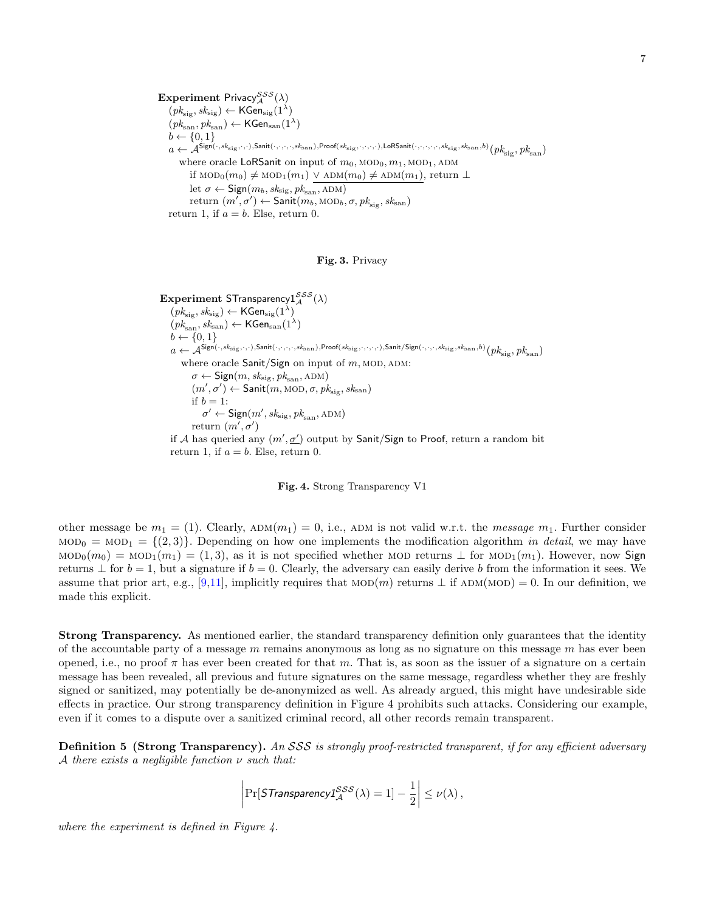$\operatorname{Experiment}$  Privacy ${}_{\mathcal{A}}^{\mathcal{S}\mathcal{S}\mathcal{S}}(\lambda)$  $(\mathit{pk}_{\text{sig}},\mathit{sk}_{\text{sig}}) \leftarrow \mathsf{KGen}_{\text{sig}}(1^\lambda)$  $(\mathit{pk}_\text{san}, \mathit{pk}_\text{san}) \gets \mathsf{KGen}_\text{san}(1^\lambda)$  $b \leftarrow \{0, 1\}$  $a \leftarrow \mathcal{A}^{\mathsf{Sign}(\cdot, sk_\text{sig}, \cdot, \cdot), \mathsf{Sanit}(\cdot, \cdot, \cdot, \cdot, , sk_\text{san}), \mathsf{Proof}(sk_\text{sig}, \cdot, \cdot, \cdot, \cdot), \mathsf{LoRSanit}(\cdot, \cdot, \cdot, \cdot, \cdot, sk_\text{sig}, sk_\text{san}, b)}(pk_\text{sig}, pk_\text{san})$ where oracle LoRSanit on input of  $m_0$ ,  $MOD_0$ ,  $m_1$ ,  $MOD_1$ ,  $ADM$ if  $MOD_0(m_0) \neq MOD_1(m_1)$  ∨  $ADM(m_0) \neq ADM(m_1)$ , return ⊥ let  $\sigma \leftarrow \textsf{Sign}(m_b, sk_{\text{sig}}, pk_{\text{san}}, \text{ADM})$ return  $(m', \sigma') \leftarrow$  Sanit $(m_b, \text{MOD}_b, \sigma, \text{pk}_{\text{sig}}, \text{sk}_{\text{san}})$ return 1, if  $a = b$ . Else, return 0.

#### <span id="page-6-0"></span>Fig. 3. Privacy

 ${\bf Experiment~STransparency1}_{\mathcal A}^{SSS}(\lambda)$  $(\mathit{pk}_{\text{sig}},\mathit{sk}_{\text{sig}}) \leftarrow \mathsf{KGen}_{\text{sig}}(1^{\lambda})$  $\left( pk_{\rm san}, sk_{\rm san} \right) \leftarrow \mathsf{KGen}_{\rm san}(1^\lambda)$  $b \leftarrow \{0, 1\}$  $a \leftarrow \mathcal{A}^{\mathsf{Sign}(\cdot, sk_\text{sig}, \cdot, \cdot), \mathsf{Sanit}(\cdot, \cdot, \cdot, \cdot, sk_\text{san}), \mathsf{Proof}(sk_\text{sig}, \cdot, \cdot, \cdot, \cdot), \mathsf{Sanit}(\mathsf{Sign}(\cdot, \cdot, \cdot, sk_\text{sig}, sk_\text{san}, b)}(pk_\text{sig}, pk_\text{san})$ where oracle Sanit/Sign on input of  $m$ , MOD, ADM:  $\sigma \leftarrow$  Sign $(m, sk_{\text{sig}}, pk_{\text{san}}, \text{ADM})$  $(m', \sigma') \leftarrow \mathsf{Sanit}(m, \mathsf{MOD}, \sigma, \mathit{pk}_{\mathsf{sig}}, \mathit{sk}_{\mathsf{san}})$ if  $b = 1$ :  $\sigma' \leftarrow \mathsf{Sign}(m', sk_{\text{sig}}, \mathit{pk}_{\text{san}}, \mathrm{ADM})$ return  $(m', \sigma')$ if A has queried any  $(m', \underline{\sigma}')$  output by Sanit/Sign to Proof, return a random bit return 1, if  $a = b$ . Else, return 0.

<span id="page-6-1"></span>Fig. 4. Strong Transparency V1

other message be  $m_1 = (1)$ . Clearly,  $ADM(m_1) = 0$ , i.e.,  $ADM$  is not valid w.r.t. the message  $m_1$ . Further consider  $MOD_0 = MOD_1 = \{(2, 3)\}\.$  Depending on how one implements the modification algorithm in detail, we may have  $\text{MOD}_0(m_0) = \text{MOD}_1(m_1) = (1, 3)$ , as it is not specified whether MOD returns  $\perp$  for MOD<sub>1</sub> $(m_1)$ . However, now Sign returns  $\perp$  for  $b = 1$ , but a signature if  $b = 0$ . Clearly, the adversary can easily derive b from the information it sees. We assume that prior art, e.g., [\[9,](#page-14-6)[11\]](#page-14-2), implicitly requires that  $MOD(m)$  returns  $\perp$  if  $ADM(MOD) = 0$ . In our definition, we made this explicit.

**Strong Transparency.** As mentioned earlier, the standard transparency definition only guarantees that the identity of the accountable party of a message m remains anonymous as long as no signature on this message m has ever been opened, i.e., no proof  $\pi$  has ever been created for that m. That is, as soon as the issuer of a signature on a certain message has been revealed, all previous and future signatures on the same message, regardless whether they are freshly signed or sanitized, may potentially be de-anonymized as well. As already argued, this might have undesirable side effects in practice. Our strong transparency definition in Figure [4](#page-6-1) prohibits such attacks. Considering our example, even if it comes to a dispute over a sanitized criminal record, all other records remain transparent.

**Definition 5 (Strong Transparency).** An SSS is strongly proof-restricted transparent, if for any efficient adversary A there exists a negligible function  $\nu$  such that:

$$
\left|\Pr[\text{STransparency1}^{\text{SSS}}_{\mathcal{A}}(\lambda) = 1] - \frac{1}{2}\right| \leq \nu(\lambda),
$$

where the experiment is defined in Figure [4.](#page-6-1)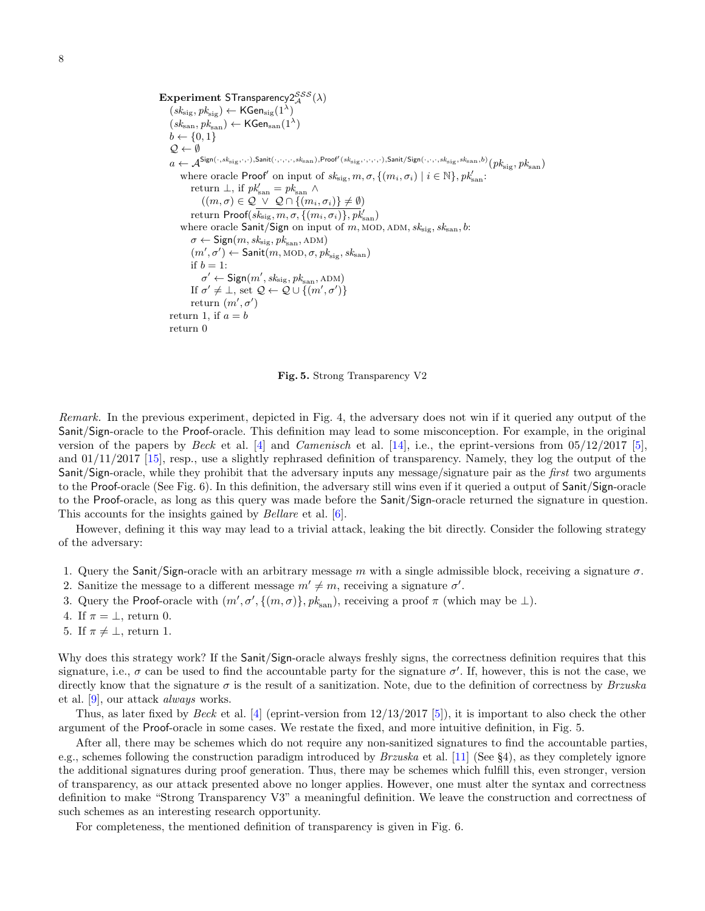${\bf Experiment~STransparency2}_{\mathcal A}^{SSS}(\lambda)$  $\left( sk_{\text{sig}}, \text{pk}_{\text{sig}} \right) \leftarrow \mathsf{KGen}_{\text{sig}}(1^{\lambda})$  $\left(sk_{\rm san}, \mathit{pk}_{\rm san}\right) \leftarrow \mathsf{KGen}_{\rm san}(1^\lambda)$  $b \leftarrow \{0, 1\}$  $\mathcal{Q} \leftarrow \emptyset$  $a \leftarrow \mathcal{A}^{\mathsf{Sign}(\cdot, sk_{\text{sig}}, \cdot, \cdot), \mathsf{Sanit}(\cdot, \cdot, \cdot, , sk_{\text{san}}), \mathsf{Proof}'(sk_{\text{sig}}, \cdot, \cdot, \cdot, \cdot), \mathsf{Sanit}/\mathsf{Sign}(\cdot, \cdot, \cdot, sk_{\text{sig}}, sk_{\text{san}}, b)}(pk_{\text{sig}}, pk_{\text{san}})$ where oracle Proof' on input of  $sk_{\text{sig}}$ ,  $m$ ,  $\sigma$ ,  $\{(m_i, \sigma_i) \mid i \in \mathbb{N}\}$ ,  $pk'_{\text{san}}$ : return  $\perp$ , if  $pk'_{\text{san}} = pk_{\text{san}} \wedge$  $((m, \sigma) \in \mathcal{Q} \lor \mathcal{Q} \cap \{(m_i, \sigma_i)\}\neq \emptyset)$ return Proof $(\overline{\mathit{sk}_{\rm sig},m,\sigma,\{(m_i,\sigma_i)\},\mathit{pk}_{\rm san}')}$ where oracle Sanit/Sign on input of  $m$ , MOD, ADM,  $sk_{sig}$ ,  $sk_{san}$ ,  $b$ :  $\sigma \leftarrow \mathsf{Sign}(m, sk_{\text{sig}}, pk_{\text{san}}, \mathrm{ADM})$  $(m', \sigma') \leftarrow \mathsf{Sanit}(m, \mathsf{MOD}, \sigma, \mathit{pk}_{\mathsf{sig}}, \mathit{sk}_{\mathsf{san}})$ if  $b = 1$ :  $\sigma' \leftarrow \mathsf{Sign}(m', sk_{\text{sig}}, pk_{\text{san}}, \text{ADM})$ If  $\sigma' \neq \bot$ , set  $\mathcal{Q} \leftarrow \mathcal{Q} \cup \{(m', \sigma')\}$ return  $(m', \sigma')$ return 1, if  $a = b$ return 0

<span id="page-7-0"></span>Fig. 5. Strong Transparency V2

Remark. In the previous experiment, depicted in Fig. [4,](#page-6-1) the adversary does not win if it queried any output of the Sanit/Sign-oracle to the Proof-oracle. This definition may lead to some misconception. For example, in the original version of the papers by *Beck* et al. [\[4\]](#page-14-10) and *Camenisch* et al. [\[14\]](#page-15-20), i.e., the eprint-versions from  $05/12/2017$  [\[5\]](#page-14-11), and 01/11/2017 [\[15\]](#page-15-21), resp., use a slightly rephrased definition of transparency. Namely, they log the output of the Sanit/Sign-oracle, while they prohibit that the adversary inputs any message/signature pair as the *first* two arguments to the Proof-oracle (See Fig. [6\)](#page-8-0). In this definition, the adversary still wins even if it queried a output of Sanit/Sign-oracle to the Proof-oracle, as long as this query was made before the Sanit/Sign-oracle returned the signature in question. This accounts for the insights gained by Bellare et al. [\[6\]](#page-14-12).

However, defining it this way may lead to a trivial attack, leaking the bit directly. Consider the following strategy of the adversary:

- 1. Query the Sanit/Sign-oracle with an arbitrary message m with a single admissible block, receiving a signature  $\sigma$ .
- 2. Sanitize the message to a different message  $m' \neq m$ , receiving a signature  $\sigma'$ .
- 3. Query the Proof-oracle with  $(m', \sigma', \{(m, \sigma)\}, p_{\text{fsan}})$ , receiving a proof  $\pi$  (which may be  $\perp$ ).
- 4. If  $\pi = \perp$ , return 0.
- 5. If  $\pi \neq \bot$ , return 1.

Why does this strategy work? If the Sanit/Sign-oracle always freshly signs, the correctness definition requires that this signature, i.e.,  $\sigma$  can be used to find the accountable party for the signature  $\sigma'$ . If, however, this is not the case, we directly know that the signature  $\sigma$  is the result of a sanitization. Note, due to the definition of correctness by *Brzuska* et al.  $[9]$ , our attack *always* works.

Thus, as later fixed by *Beck* et al. [\[4\]](#page-14-10) (eprint-version from  $12/13/2017$  [\[5\]](#page-14-11)), it is important to also check the other argument of the Proof-oracle in some cases. We restate the fixed, and more intuitive definition, in Fig. [5.](#page-7-0)

After all, there may be schemes which do not require any non-sanitized signatures to find the accountable parties, e.g., schemes following the construction paradigm introduced by  $Brzuska$  et al. [\[11\]](#page-14-2) (See §[4\)](#page-13-0), as they completely ignore the additional signatures during proof generation. Thus, there may be schemes which fulfill this, even stronger, version of transparency, as our attack presented above no longer applies. However, one must alter the syntax and correctness definition to make "Strong Transparency V3" a meaningful definition. We leave the construction and correctness of such schemes as an interesting research opportunity.

For completeness, the mentioned definition of transparency is given in Fig. [6.](#page-8-0)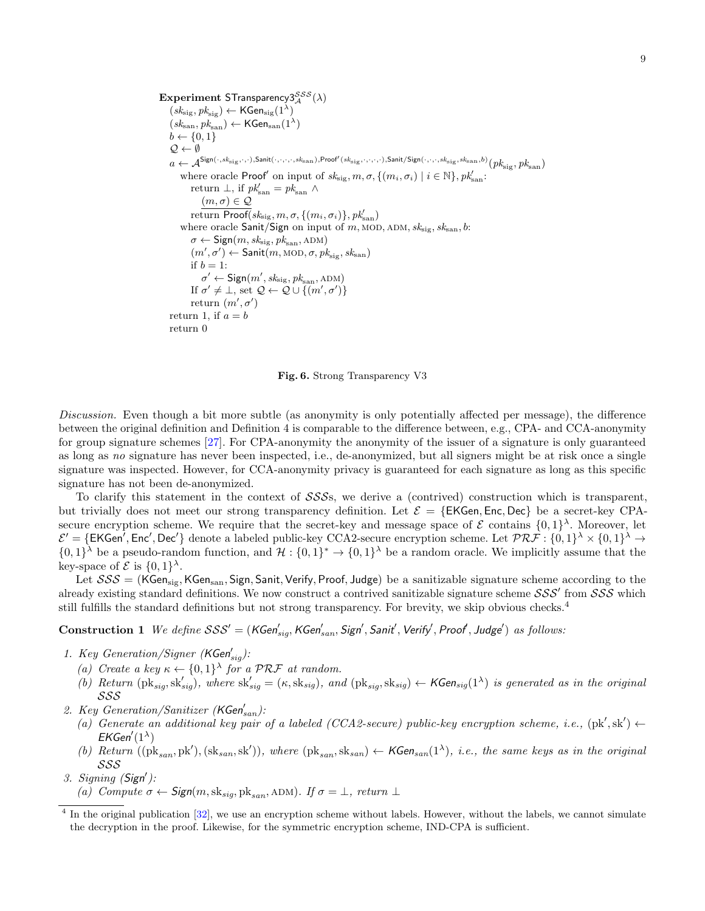${\bf Experiment~STransparency3}_{\mathcal{A}}^{\mathcal{SSS}}(\lambda)$  $\left( sk_{\text{sig}}, \text{pk}_{\text{sig}} \right) \leftarrow \mathsf{KGen}_{\text{sig}}(1^{\lambda})$  $\left(sk_{\rm san}, \mathit{pk}_{\rm san}\right) \leftarrow \mathsf{KGen}_{\rm san}(1^\lambda)$  $b \leftarrow \{0, 1\}$  $\mathcal{Q} \leftarrow \emptyset$  $a \leftarrow \mathcal{A}^{\mathsf{Sign}(\cdot, sk_{\text{sig}}, \cdot, \cdot), \mathsf{Sanit}(\cdot, \cdot, \cdot, , sk_{\text{san}}), \mathsf{Proof}'(sk_{\text{sig}}, \cdot, \cdot, \cdot, \cdot), \mathsf{Sanit}/\mathsf{Sign}(\cdot, \cdot, \cdot, sk_{\text{sig}}, sk_{\text{san}}, b)}(pk_{\text{sig}}, pk_{\text{san}})$ where oracle Proof' on input of  $sk_{\text{sig}}$ ,  $m$ ,  $\sigma$ ,  $\{(m_i, \sigma_i) \mid i \in \mathbb{N}\}$ ,  $pk'_{\text{san}}$ : return  $\perp$ , if  $pk'_{\text{san}} = pk_{\text{san}} \wedge$  $(m, \sigma) \in \mathcal{Q}$  $\overline{\mathrm{return~Proof}(sk_{\mathrm{sig}},m,\sigma,\{(m_i,\sigma_i)\},\mathit{pk}_{\mathrm{san}}')}$ where oracle Sanit/Sign on input of  $m$ , MOD, ADM,  $sk_{sig}$ ,  $sk_{san}$ ,  $b$ :  $\sigma \leftarrow \mathsf{Sign}(m, \mathit{sk}_{\text{sig}}, \mathit{pk}_{\text{san}}, \mathrm{ADM})$  $(m', \sigma') \leftarrow \mathsf{Sanit}(m, \mathsf{MOD}, \sigma, \mathit{pk}_{\mathsf{sig}}, \mathit{sk}_{\mathsf{san}})$ if  $b = 1$ :  $\sigma' \leftarrow \mathsf{Sign}(m', sk_{\text{sig}}, pk_{\text{san}}, \text{ADM})$ If  $\sigma' \neq \bot$ , set  $\mathcal{Q} \leftarrow \mathcal{Q} \cup \{(m', \sigma')\}$ return  $(m', \sigma')$ return 1, if  $a = b$ return 0

<span id="page-8-0"></span>Fig. 6. Strong Transparency V3

Discussion. Even though a bit more subtle (as anonymity is only potentially affected per message), the difference between the original definition and Definition [4](#page-6-1) is comparable to the difference between, e.g., CPA- and CCA-anonymity for group signature schemes [\[27\]](#page-15-22). For CPA-anonymity the anonymity of the issuer of a signature is only guaranteed as long as no signature has never been inspected, i.e., de-anonymized, but all signers might be at risk once a single signature was inspected. However, for CCA-anonymity privacy is guaranteed for each signature as long as this specific signature has not been de-anonymized.

To clarify this statement in the context of  $SSS$ s, we derive a (contrived) construction which is transparent, but trivially does not meet our strong transparency definition. Let  $\mathcal{E} = \{EKGen, Enc, Dec\}$  be a secret-key CPAsecure encryption scheme. We require that the secret-key and message space of  $\mathcal E$  contains  $\{0,1\}^{\lambda}$ . Moreover, let  $\mathcal{E}' = \{\textsf{EKGen}', \textsf{Enc}', \textsf{Dec}'\}$  denote a labeled public-key CCA2-secure encryption scheme. Let  $\mathcal{PRF} : \{0,1\}^{\lambda} \times \{0,1\}^{\lambda} \to$  $\{0,1\}^{\lambda}$  be a pseudo-random function, and  $\mathcal{H}:\{0,1\}^{\lambda}\to\{0,1\}^{\lambda}$  be a random oracle. We implicitly assume that the key-space of  $\mathcal E$  is  $\{0,1\}^{\lambda}$ .

Let  $SSS = (KGen<sub>sig</sub>,KGen<sub>san</sub>, Sign, Sanit, Verify, Proof, Judge)$  be a sanitizable signature scheme according to the already existing standard definitions. We now construct a contrived sanitizable signature scheme  $SSS'$  from  $SSS$  which still fulfills the standard definitions but not strong transparency. For brevity, we skip obvious checks.<sup>[4](#page-8-1)</sup>

 $\textbf{Construction 1}$  We define  $\mathcal{SSS}' = (\mathcal{KGen}'_{sig}, \mathcal{KGen}'_{san}, \mathcal{Sign}', \mathcal{Sanit}', \mathcal{Verify}', \mathcal{Proof}, \mathcal{J}udge')$  as follows:

- 1. Key Generation/Signer (KGen'sig):
	- (a) Create a key  $\kappa \leftarrow \{0,1\}^{\lambda}$  for a PRF at random.
	- (b) Return  $(\text{pk}_{sig}, \text{sk}_{sig}')$ , where  $\text{sk}_{sig}' = (\kappa, \text{sk}_{sig})$ , and  $(\text{pk}_{sig}, \text{sk}_{sig}) \leftarrow \text{KGen}_{sig}(1^{\lambda})$  is generated as in the original SSS
- 2. Key Generation/Sanitizer ( $\mathsf{KGen}_{san}'$ ):
	- (a) Generate an additional key pair of a labeled (CCA2-secure) public-key encryption scheme, i.e.,  $(\text{pk}', \text{sk}') \leftarrow$  $EKGen'(1^{\lambda})$
	- (b) Return  $((pk_{san}, pk'),(sk_{san}, sk'))$ , where  $(pk_{san}, sk_{san}) \leftarrow KGen_{san}(1^{\lambda}), i.e., the same keys as in the original$ SSS
- 3. Signing (Sign'): (a) Compute  $\sigma \leftarrow$  Sign(m, sk<sub>sig</sub>, pk<sub>san</sub>, ADM). If  $\sigma = \bot$ , return  $\bot$

<span id="page-8-1"></span><sup>&</sup>lt;sup>4</sup> In the original publication [\[32\]](#page-15-23), we use an encryption scheme without labels. However, without the labels, we cannot simulate the decryption in the proof. Likewise, for the symmetric encryption scheme, IND-CPA is sufficient.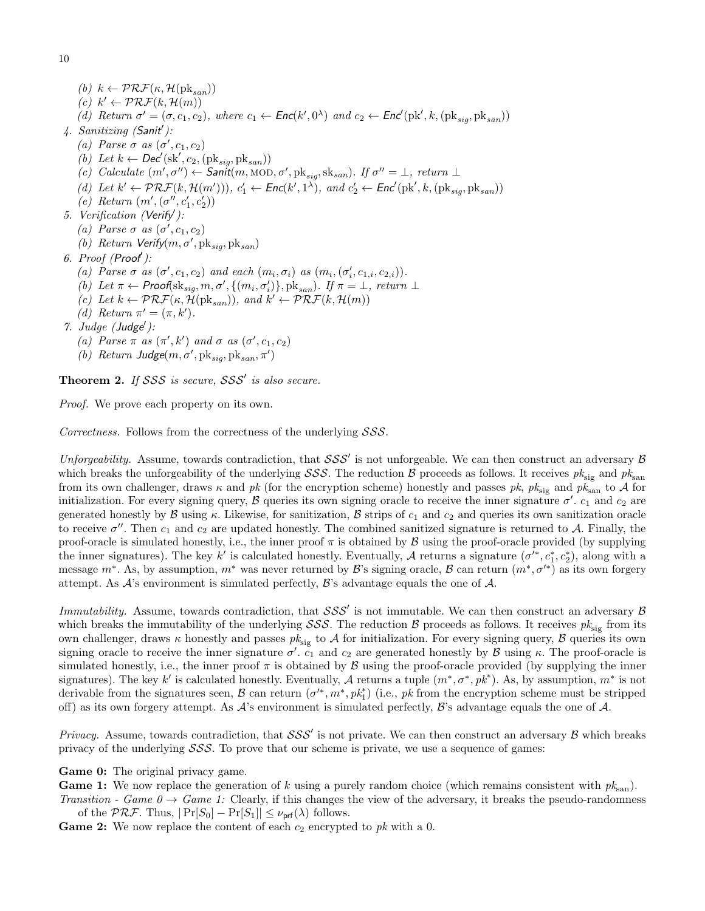(b)  $k \leftarrow \mathcal{PRF}(\kappa, \mathcal{H}(\text{pk}_{san}))$ (c)  $k' \leftarrow \mathcal{PRF}(k, \mathcal{H}(m))$ (d) Return  $\sigma' = (\sigma, c_1, c_2)$ , where  $c_1 \leftarrow \text{Enc}(k', 0^{\lambda})$  and  $c_2 \leftarrow \text{Enc}'(\text{pk}', k, (\text{pk}_{sig}, \text{pk}_{san}))$ 4. Sanitizing (Sanit'): (a) Parse  $\sigma$  as  $(\sigma', c_1, c_2)$ (b) Let  $k \leftarrow \text{Dec}'(\text{sk}', c_2, (\text{pk}_{sig}, \text{pk}_{san}))$ (c) Calculate  $(m', \sigma'') \leftarrow$  Sanit $(m, \text{MOD}, \sigma', \text{pk}_{sig}, \text{sk}_{san})$ . If  $\sigma'' = \bot$ , return  $\bot$ (d) Let  $k' \leftarrow \mathcal{PRF}(k, \mathcal{H}(m'))), c'_1 \leftarrow \mathsf{Enc}(k', 1^{\lambda}),$  and  $c'_2 \leftarrow \mathsf{Enc}(\mathrm{pk}', k, (\mathrm{pk}_{sig}, \mathrm{pk}_{san}))$ (e) Return  $(m', (\sigma'', c_1', c_2'))$ 5. Verification (Verify): (a) Parse  $\sigma$  as  $(\sigma', c_1, c_2)$ (b) Return Verify $(m, \sigma', \mathbf{pk}_{sig}, \allowbreak \mathbf{pk}_{san})$  $6.$  Proof (Proof): (a) Parse  $\sigma$  as  $(\sigma', c_1, c_2)$  and each  $(m_i, \sigma_i)$  as  $(m_i, (\sigma'_i, c_{1,i}, c_{2,i}))$ . (b) Let  $\pi \leftarrow \text{Proof}(\text{sk}_{\text{sig}}, m, \sigma', \{(m_i, \sigma'_i)\}, \text{pk}_{\text{san}})$ . If  $\pi = \bot$ , return  $\bot$ (c) Let  $k \leftarrow \mathcal{PRF}(\kappa, \mathcal{H}(pk_{san}))$ , and  $k' \leftarrow \mathcal{PRF}(k, \mathcal{H}(m))$ (d) Return  $\pi' = (\pi, k')$ . 7. Judge (Judge'): (a) Parse  $\pi$  as  $(\pi', k')$  and  $\sigma$  as  $(\sigma', c_1, c_2)$ (b) Return Judge $(m, \sigma', \mathbf{pk}_{sig}, \mathbf{pk}_{san}, \pi')$ 

**Theorem 2.** If  $SSS$  is secure,  $SSS'$  is also secure.

Proof. We prove each property on its own.

Correctness. Follows from the correctness of the underlying SSS.

Unforgeability. Assume, towards contradiction, that  $SSS'$  is not unforgeable. We can then construct an adversary  $\beta$ which breaks the unforgeability of the underlying SSS. The reduction B proceeds as follows. It receives  $pk_{\text{sig}}$  and  $pk_{\text{san}}$ from its own challenger, draws  $\kappa$  and  $pk$  (for the encryption scheme) honestly and passes pk,  $pk_{sig}$  and  $pk_{san}$  to A for initialization. For every signing query,  $\beta$  queries its own signing oracle to receive the inner signature  $\sigma'$ .  $c_1$  and  $c_2$  are generated honestly by B using  $\kappa$ . Likewise, for sanitization, B strips of  $c_1$  and  $c_2$  and queries its own sanitization oracle to receive  $\sigma''$ . Then  $c_1$  and  $c_2$  are updated honestly. The combined sanitized signature is returned to A. Finally, the proof-oracle is simulated honestly, i.e., the inner proof  $\pi$  is obtained by  $\beta$  using the proof-oracle provided (by supplying the inner signatures). The key k' is calculated honestly. Eventually, A returns a signature  $(\sigma^{\'}, c_1^*, c_2^*)$ , along with a message  $m^*$ . As, by assumption,  $m^*$  was never returned by  $\mathcal{B}'$ 's signing oracle,  $\mathcal{B}$  can return  $(m^*, \sigma'^*)$  as its own forgery attempt. As  $\mathcal{A}$ 's environment is simulated perfectly,  $\mathcal{B}$ 's advantage equals the one of  $\mathcal{A}$ .

*Immutability*. Assume, towards contradiction, that  $SSS'$  is not immutable. We can then construct an adversary  $\beta$ which breaks the immutability of the underlying  $SSS$ . The reduction B proceeds as follows. It receives  $pk_{\text{sig}}$  from its own challenger, draws  $\kappa$  honestly and passes  $pk_{sig}$  to A for initialization. For every signing query, B queries its own signing oracle to receive the inner signature  $\sigma'$ .  $c_1$  and  $c_2$  are generated honestly by  $\beta$  using  $\kappa$ . The proof-oracle is simulated honestly, i.e., the inner proof  $\pi$  is obtained by  $\beta$  using the proof-oracle provided (by supplying the inner signatures). The key k' is calculated honestly. Eventually, A returns a tuple  $(m^*, \sigma^*, p k^*)$ . As, by assumption,  $m^*$  is not derivable from the signatures seen,  $\mathcal B$  can return  $(\sigma'^*, m^*, p k_1^*)$  (i.e.,  $pk$  from the encryption scheme must be stripped off) as its own forgery attempt. As  $\mathcal{A}$ 's environment is simulated perfectly,  $\mathcal{B}$ 's advantage equals the one of  $\mathcal{A}$ .

Privacy. Assume, towards contradiction, that  $SSS'$  is not private. We can then construct an adversary  $\beta$  which breaks privacy of the underlying  $SSS$ . To prove that our scheme is private, we use a sequence of games:

Game 0: The original privacy game.

**Game 1:** We now replace the generation of k using a purely random choice (which remains consistent with  $pk_{\text{san}}$ ).

Transition - Game  $0 \to Game$  1: Clearly, if this changes the view of the adversary, it breaks the pseudo-randomness of the  $\mathcal{PRF}$ . Thus,  $|\Pr[S_0] - \Pr[S_1]| \leq \nu_{\text{prf}}(\lambda)$  follows.

**Game 2:** We now replace the content of each  $c_2$  encrypted to pk with a 0.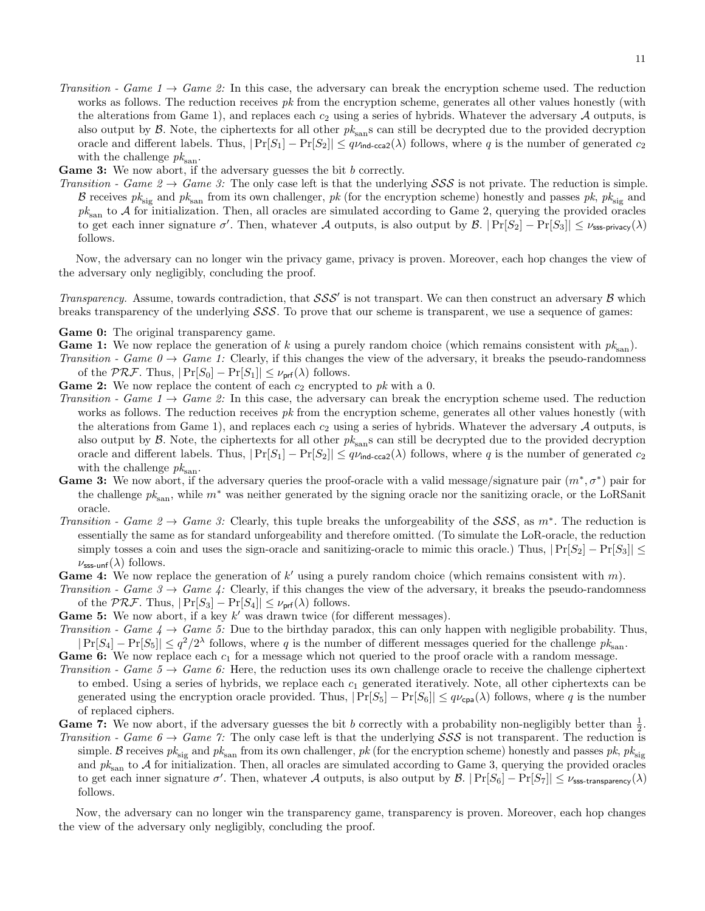Transition - Game  $1 \rightarrow$  Game 2: In this case, the adversary can break the encryption scheme used. The reduction works as follows. The reduction receives  $pk$  from the encryption scheme, generates all other values honestly (with the alterations from Game 1), and replaces each  $c_2$  using a series of hybrids. Whatever the adversary  $\mathcal A$  outputs, is also output by  $\beta$ . Note, the ciphertexts for all other  $pk_{\text{san}}$ s can still be decrypted due to the provided decryption oracle and different labels. Thus,  $|\Pr[S_1] - \Pr[S_2]| \leq q\mu_{\text{ind-cca2}}(\lambda)$  follows, where q is the number of generated  $c_2$ with the challenge  $pk_{\rm san}.$ 

Game 3: We now abort, if the adversary guesses the bit b correctly.

Transition - Game  $2 \rightarrow$  Game 3: The only case left is that the underlying SSS is not private. The reduction is simple. B receives  $pk_{\text{sig}}$  and  $pk_{\text{san}}$  from its own challenger, pk (for the encryption scheme) honestly and passes pk,  $pk_{\text{sig}}$  and  $pk_{\text{san}}$  to A for initialization. Then, all oracles are simulated according to Game 2, querying the provided oracles to get each inner signature  $\sigma'$ . Then, whatever A outputs, is also output by B.  $|\Pr[S_2] - \Pr[S_3]| \leq \nu_{\text{sss- privacy}}(\lambda)$ follows.

Now, the adversary can no longer win the privacy game, privacy is proven. Moreover, each hop changes the view of the adversary only negligibly, concluding the proof.

Transparency. Assume, towards contradiction, that  $SSS'$  is not transpart. We can then construct an adversary  $\beta$  which breaks transparency of the underlying  $SSS$ . To prove that our scheme is transparent, we use a sequence of games:

Game 0: The original transparency game.

Game 1: We now replace the generation of k using a purely random choice (which remains consistent with  $pk_{\text{san}}$ ).

- Transition Game  $0 \to Game$  1: Clearly, if this changes the view of the adversary, it breaks the pseudo-randomness of the  $\mathcal{PRF}$ . Thus,  $|\Pr[S_0] - \Pr[S_1]| \leq \nu_{\text{prf}}(\lambda)$  follows.
- **Game 2:** We now replace the content of each  $c_2$  encrypted to  $pk$  with a 0.
- Transition Game  $1 \rightarrow$  Game 2: In this case, the adversary can break the encryption scheme used. The reduction works as follows. The reduction receives  $pk$  from the encryption scheme, generates all other values honestly (with the alterations from Game 1), and replaces each  $c_2$  using a series of hybrids. Whatever the adversary  $\mathcal A$  outputs, is also output by  $\beta$ . Note, the ciphertexts for all other  $pk_{\text{san}}$ s can still be decrypted due to the provided decryption oracle and different labels. Thus,  $|\Pr[S_1] - \Pr[S_2]| \leq q\nu_{\text{ind-cca2}}(\lambda)$  follows, where q is the number of generated  $c_2$ with the challenge  $pk_{\text{san}}$ .
- Game 3: We now abort, if the adversary queries the proof-oracle with a valid message/signature pair  $(m^*, \sigma^*)$  pair for the challenge  $pk_{\text{san}}$ , while  $m^*$  was neither generated by the signing oracle nor the sanitizing oracle, or the LoRSanit oracle.
- Transition Game  $2 \rightarrow$  Game 3: Clearly, this tuple breaks the unforgeability of the SSS, as  $m^*$ . The reduction is essentially the same as for standard unforgeability and therefore omitted. (To simulate the LoR-oracle, the reduction simply tosses a coin and uses the sign-oracle and sanitizing-oracle to mimic this oracle.) Thus,  $|Pr[S_2] - Pr[S_3]| \leq$  $\nu_{\text{sss-unf}}(\lambda)$  follows.
- **Game 4:** We now replace the generation of  $k'$  using a purely random choice (which remains consistent with m).
- Transition Game  $3 \rightarrow$  Game  $4$ : Clearly, if this changes the view of the adversary, it breaks the pseudo-randomness of the  $\mathcal{PRF}$ . Thus,  $|\Pr[S_3] - \Pr[S_4]| \leq \nu_{\text{prf}}(\lambda)$  follows.

**Game 5:** We now abort, if a key  $k'$  was drawn twice (for different messages).

the view of the adversary only negligibly, concluding the proof.

- Transition Game  $4 \rightarrow$  Game 5: Due to the birthday paradox, this can only happen with negligible probability. Thus,  $|\Pr[S_4] - \Pr[S_5]| \leq q^2/2^{\lambda}$  follows, where q is the number of different messages queried for the challenge  $pk_{\text{san}}$ .
- **Game 6:** We now replace each  $c_1$  for a message which not queried to the proof oracle with a random message.
- Transition Game  $5 \rightarrow$  Game 6: Here, the reduction uses its own challenge oracle to receive the challenge ciphertext to embed. Using a series of hybrids, we replace each  $c_1$  generated iteratively. Note, all other ciphertexts can be generated using the encryption oracle provided. Thus,  $|\Pr[S_5] - \Pr[S_6]| \le q\nu_{\text{cpa}}(\lambda)$  follows, where q is the number of replaced ciphers.

**Game 7:** We now abort, if the adversary guesses the bit b correctly with a probability non-negligibly better than  $\frac{1}{2}$ . Transition - Game  $6 \rightarrow$  Game 7: The only case left is that the underlying  $SSS$  is not transparent. The reduction is simple. B receives  $pk_{\text{sig}}$  and  $pk_{\text{san}}$  from its own challenger,  $pk$  (for the encryption scheme) honestly and passes  $pk$ ,  $pk_{\text{sig}}$ and  $pk_{\text{san}}$  to A for initialization. Then, all oracles are simulated according to Game 3, querying the provided oracles to get each inner signature  $\sigma'$ . Then, whatever A outputs, is also output by  $\mathcal{B}$ .  $|\Pr[S_6] - \Pr[S_7]| \leq \nu_{\text{sss-transparency}}(\lambda)$ 

follows. Now, the adversary can no longer win the transparency game, transparency is proven. Moreover, each hop changes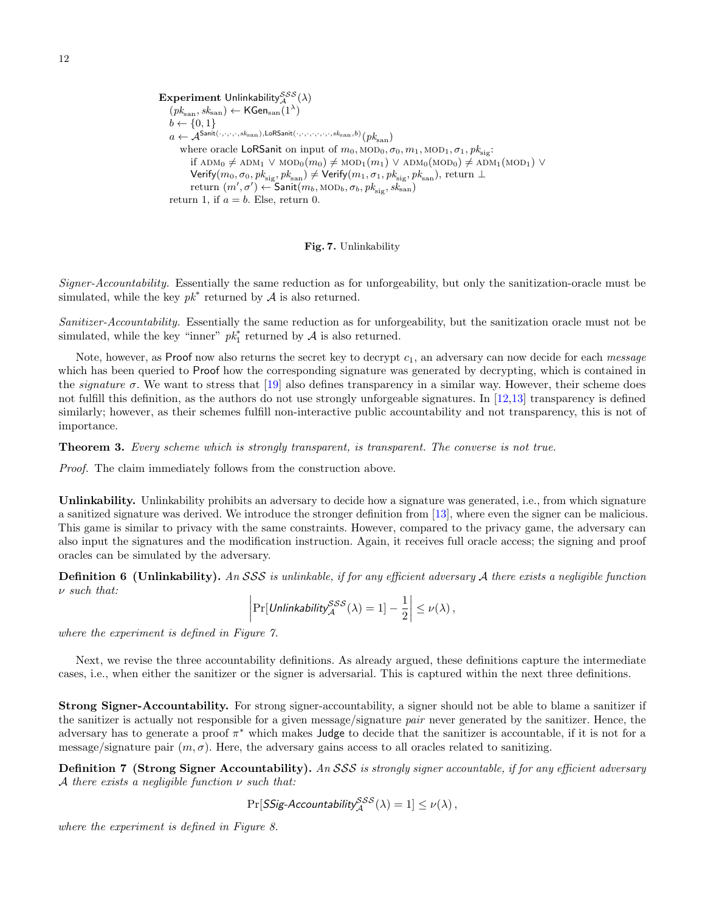${\bf Experiment ~Unlinkability}_{\mathcal A}^{SSS}(\lambda)$  $(\mathit{pk}_{\mathrm{san}},\mathit{sk}_{\mathrm{san}}) \leftarrow \mathsf{KGen}_{\mathrm{san}}(1^{\lambda})$  $b \leftarrow \{0, 1\}$  $a \leftarrow \mathcal{A}^{\mathsf{Sanit}(\cdot,\cdot,\cdot,\cdot,\cdot,s k_{\text{san}}), \mathsf{LoR}\mathsf{Sanit}(\cdot,\cdot,\cdot,\cdot,\cdot,\cdot,\cdot,s k_{\text{san}},b)}(pk_{\text{san}})$ where oracle LoRSanit on input of  $m_0$ , MOD<sub>0</sub>,  $\sigma_0$ ,  $m_1$ , MOD<sub>1</sub>,  $\sigma_1$ ,  $pk_{\text{sig}}$ : if  $ADM_0 \neq ADM_1$  ∨  $MOD_0(m_0) \neq MOD_1(m_1)$  ∨  $ADM_0(MOD_0) \neq ADM_1(MOD_1)$  ∨ Verify $(m_0, \sigma_0, pk_{sig}, pk_{san}) \neq$  Verify $(m_1, \sigma_1, pk_{sig}, pk_{san})$ , return ⊥  $\text{return } (m', \sigma') \leftarrow \mathsf{Sanit}(m_b, \text{MOD}_b, \sigma_b, \textit{pk}_{\text{sig}}, \textit{sk}_{\text{san}})$ return 1, if  $a = b$ . Else, return 0.

#### <span id="page-11-0"></span>Fig. 7. Unlinkability

Signer-Accountability. Essentially the same reduction as for unforgeability, but only the sanitization-oracle must be simulated, while the key  $pk^*$  returned by A is also returned.

Sanitizer-Accountability. Essentially the same reduction as for unforgeability, but the sanitization oracle must not be simulated, while the key "inner"  $pk_1^*$  returned by  $A$  is also returned.

Note, however, as Proof now also returns the secret key to decrypt  $c_1$ , an adversary can now decide for each *message* which has been queried to Proof how the corresponding signature was generated by decrypting, which is contained in the *signature*  $\sigma$ . We want to stress that [\[19\]](#page-15-16) also defines transparency in a similar way. However, their scheme does not fulfill this definition, as the authors do not use strongly unforgeable signatures. In [\[12,](#page-14-3)[13\]](#page-14-4) transparency is defined similarly; however, as their schemes fulfill non-interactive public accountability and not transparency, this is not of importance.

**Theorem 3.** Every scheme which is strongly transparent, is transparent. The converse is not true.

Proof. The claim immediately follows from the construction above.

Unlinkability. Unlinkability prohibits an adversary to decide how a signature was generated, i.e., from which signature a sanitized signature was derived. We introduce the stronger definition from [\[13\]](#page-14-4), where even the signer can be malicious. This game is similar to privacy with the same constraints. However, compared to the privacy game, the adversary can also input the signatures and the modification instruction. Again, it receives full oracle access; the signing and proof oracles can be simulated by the adversary.

**Definition 6 (Unlinkability).** An SSS is unlinkable, if for any efficient adversary A there exists a negligible function ν such that:

$$
\left|\Pr[\text{Unlinkability}_{\mathcal{A}}^{\mathcal{S}\mathcal{S}\mathcal{S}}(\lambda)=1]-\frac{1}{2}\right|\leq\nu(\lambda)\,,
$$

where the experiment is defined in Figure [7.](#page-11-0)

Next, we revise the three accountability definitions. As already argued, these definitions capture the intermediate cases, i.e., when either the sanitizer or the signer is adversarial. This is captured within the next three definitions.

Strong Signer-Accountability. For strong signer-accountability, a signer should not be able to blame a sanitizer if the sanitizer is actually not responsible for a given message/signature *pair* never generated by the sanitizer. Hence, the adversary has to generate a proof  $\pi^*$  which makes Judge to decide that the sanitizer is accountable, if it is not for a message/signature pair  $(m, \sigma)$ . Here, the adversary gains access to all oracles related to sanitizing.

**Definition 7 (Strong Signer Accountability).** An SSS is strongly signer accountable, if for any efficient adversary A there exists a negligible function  $\nu$  such that:

 $\Pr[\mathcal{S}\mathcal{S}\text{ig-Accountability}_{\mathcal{A}}^{\mathcal{S}\mathcal{S}\mathcal{S}}(\lambda)=1]\leq\nu(\lambda)\,,$ 

where the experiment is defined in Figure [8.](#page-12-0)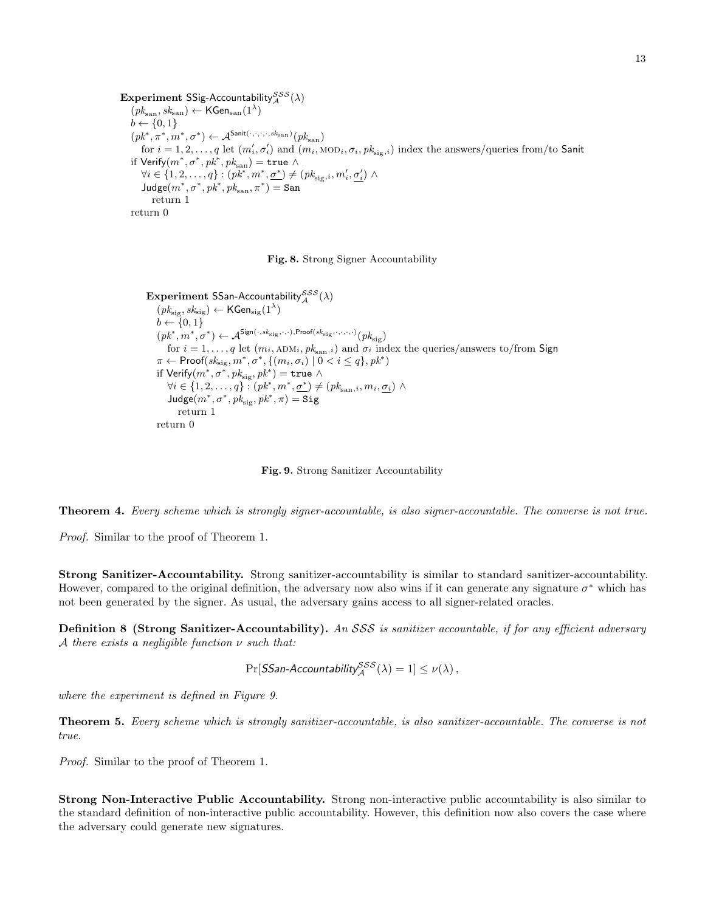${\bf Experiment~SS}$ ig-Accountability $_{\cal A}^{SSS}(\lambda)$  $(\mathit{pk}_{\mathrm{san}}, \mathit{sk}_{\mathrm{san}}) \leftarrow \mathsf{KGen}_{\mathrm{san}}(1^\lambda)$  $b \leftarrow \{0, 1\}$  $(pk^*, \pi^*, m^*, \sigma^*) \leftarrow \mathcal{A}^{\mathsf{Sanit}(\cdot, \cdot, \cdot, \cdot, sk_{\mathsf{san}})}(pk_{\mathsf{san}})$ for  $i = 1, 2, ..., q$  let  $(m'_i, \sigma'_i)$  and  $(m_i, \text{MOD}_i, \sigma_i, pk_{\text{sig},i})$  index the answers/queries from/to Sanit if Verify $(m^*, \sigma^*, pk^*, pk_{\rm san}) =$ true ∧  $\forall i \in \{1, 2, \ldots, q\} : (pk^*, m^*, \underline{\sigma}^*) \neq (pk_{\text{sig},i}, m'_i, \underline{\sigma'_i}) \land$  $\mathsf{Judge}(m^*,\sigma^*,pk^*,pk_{\mathrm{san}}^*,\pi^*)=\mathtt{San}$ return 1 return 0

<span id="page-12-0"></span>

```
{\bf Experiment~S}San-Accountability{}_{\cal A}^{\cal S\cal S\cal S}(\lambda)(\mathit{pk}_{\text{sig}},\mathit{sk}_{\text{sig}}) \leftarrow \mathsf{KGen}_{\text{sig}}(1^{\lambda})b \leftarrow \{0, 1\}(pk^*, m^*, \sigma^*) \leftarrow \mathcal{A}^{\mathsf{Sign}(\cdot, sk_{\text{sig}}, \cdot, \cdot, \cdot), \mathsf{Proof}(sk_{\text{sig}}, \cdot, \cdot, \cdot, \cdot)}(pk_{\text{sig}})for i = 1, ..., q let (m_i, \text{ADM}_i, pk_{\text{san},i}) and \sigma_i index the queries/answers to/from Sign
 \pi \leftarrow \mathsf{Proof}(sk_{\text{sig}}, m^*, \sigma^*, \{(m_i, \sigma_i) \mid 0 < i \leq q\}, pk^*)if {\sf Verify}(m^*,\sigma^*,pk_{\text{sig}},pk^*) = {\tt true} \; \wedge\forall i \in \{1, 2, \ldots, q\}: (pk^*, m^*, \underline{\sigma^*}) \neq (pk_{\text{san}, i}, m_i, \underline{\sigma_i}) \wedge\mathsf{Judge}(m^*, \sigma^*, pk_{\text{sig}}, pk^*, \pi) = \mathsf{Sig}return 1
return 0
```
<span id="page-12-1"></span>Fig. 9. Strong Sanitizer Accountability

Theorem 4. Every scheme which is strongly signer-accountable, is also signer-accountable. The converse is not true.

Proof. Similar to the proof of Theorem [1.](#page-4-2)

Strong Sanitizer-Accountability. Strong sanitizer-accountability is similar to standard sanitizer-accountability. However, compared to the original definition, the adversary now also wins if it can generate any signature  $\sigma^*$  which has not been generated by the signer. As usual, the adversary gains access to all signer-related oracles.

**Definition 8 (Strong Sanitizer-Accountability).** An SSS is sanitizer accountable, if for any efficient adversary A there exists a negligible function  $\nu$  such that:

 $\Pr[\textit{SSan-Accountability}_{\mathcal{A}}^{\mathcal{SSS}}(\lambda)=1] \leq \nu(\lambda)\,,$ 

where the experiment is defined in Figure [9.](#page-12-1)

Theorem 5. Every scheme which is strongly sanitizer-accountable, is also sanitizer-accountable. The converse is not true.

Proof. Similar to the proof of Theorem [1.](#page-4-2)

Strong Non-Interactive Public Accountability. Strong non-interactive public accountability is also similar to the standard definition of non-interactive public accountability. However, this definition now also covers the case where the adversary could generate new signatures.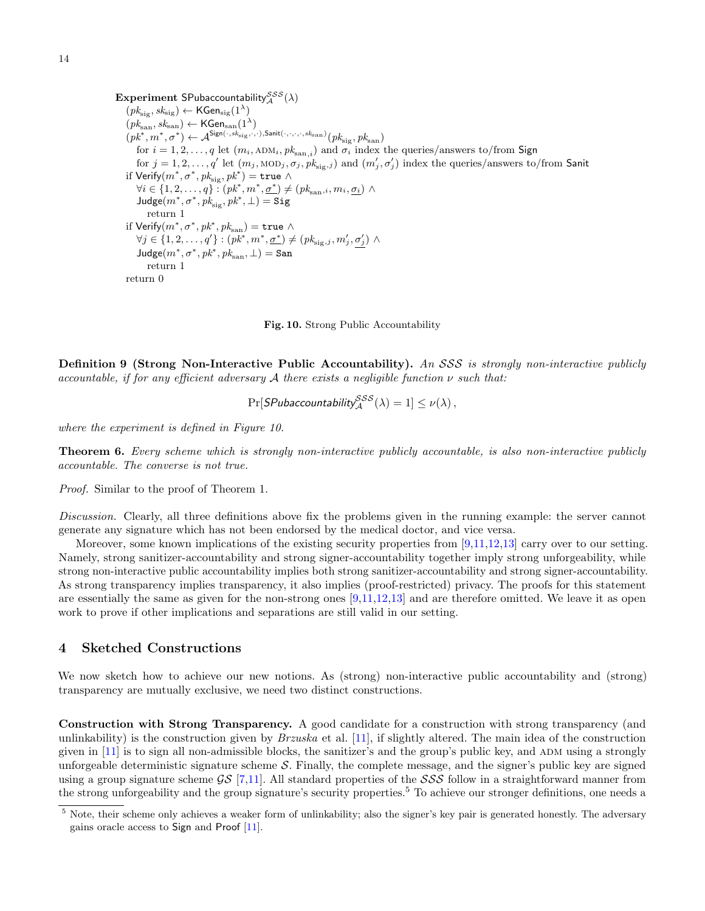${\bf Experiment~S}$ Pubaccountability ${}_{\cal A}^{\cal S\cal S\cal S}(\lambda)$  $(\mathit{pk}_{\text{sig}},\mathit{sk}_{\text{sig}}) \leftarrow \mathsf{KGen}_{\text{sig}}(1^\lambda)$  $(\mathit{pk}_{\mathrm{san}}, \mathit{sk}_{\mathrm{san}}) \leftarrow \mathsf{KGen}_{\mathrm{san}}(1^\lambda)$  $(pk^*, m^*, \sigma^*) \leftarrow \mathcal{A}^{\mathsf{Sign}(\cdot, sk_{\text{sig}}, \cdot, \cdot), \mathsf{Sanit}(\cdot, \cdot, \cdot, \cdot, sk_{\text{san}})}(pk_{\text{sig}}, pk_{\text{san}})$ for  $i = 1, 2, ..., q$  let  $(m_i, \text{ADM}_i, pk_{\text{san},i})$  and  $\sigma_i$  index the queries/answers to/from Sign for  $j=1,2,\ldots,q'$  let  $(m_j, \text{MOD}_j, \sigma_j, \hat{pk}_{\text{sig},j})$  and  $(m'_j, \sigma'_j)$  index the queries/answers to/from Sanit if  $\mathsf{Verify}(m^*, \sigma^*, \mathit{pk}_{\text{sig}}, \mathit{pk}^*) = \mathtt{true} \land$  $\forall i \in \{1, 2, \ldots, q\} : (pk^*, m^*, \underline{\sigma^*}) \neq (pk_{\text{san},i}, m_i, \underline{\sigma_i}) \land$  $\mathsf{Judge}(m^*,\sigma^*,pk_\text{sig},pk^*,\bot) = \mathtt{Sig}$ return 1 if Verify $(m^*, \sigma^*, pk^*, pk_{\rm san}) =$ true ∧  $\forall j \in \{1, 2, ..., q'\} : (pk^*, m^*, \underline{\sigma}^*) \neq (pk_{\text{sig},j}, m'_j, \sigma'_j) \land$  $\mathsf{Judge}(m^*,\sigma^*,pk^*,pk_{\mathrm{san}}^*,\bot) = \mathtt{San}$ return 1 return 0

<span id="page-13-1"></span>Fig. 10. Strong Public Accountability

Definition 9 (Strong Non-Interactive Public Accountability). An SSS is strongly non-interactive publicly accountable, if for any efficient adversary  $A$  there exists a negligible function  $\nu$  such that:

$$
\Pr[\textit{SPubaccountability}_{\mathcal{A}}^{\mathcal{SSS}}(\lambda) = 1] \leq \nu(\lambda)\,,
$$

where the experiment is defined in Figure [10.](#page-13-1)

**Theorem 6.** Every scheme which is strongly non-interactive publicly accountable, is also non-interactive publicly accountable. The converse is not true.

Proof. Similar to the proof of Theorem [1.](#page-4-2)

Discussion. Clearly, all three definitions above fix the problems given in the running example: the server cannot generate any signature which has not been endorsed by the medical doctor, and vice versa.

Moreover, some known implications of the existing security properties from [\[9,](#page-14-6)[11](#page-14-2)[,12,](#page-14-3)[13\]](#page-14-4) carry over to our setting. Namely, strong sanitizer-accountability and strong signer-accountability together imply strong unforgeability, while strong non-interactive public accountability implies both strong sanitizer-accountability and strong signer-accountability. As strong transparency implies transparency, it also implies (proof-restricted) privacy. The proofs for this statement are essentially the same as given for the non-strong ones [\[9](#page-14-6)[,11](#page-14-2)[,12,](#page-14-3)[13\]](#page-14-4) and are therefore omitted. We leave it as open work to prove if other implications and separations are still valid in our setting.

## <span id="page-13-0"></span>4 Sketched Constructions

We now sketch how to achieve our new notions. As (strong) non-interactive public accountability and (strong) transparency are mutually exclusive, we need two distinct constructions.

Construction with Strong Transparency. A good candidate for a construction with strong transparency (and unlinkability) is the construction given by  $Brzuska$  et al. [\[11\]](#page-14-2), if slightly altered. The main idea of the construction given in  $[11]$  is to sign all non-admissible blocks, the sanitizer's and the group's public key, and ADM using a strongly unforgeable deterministic signature scheme  $\mathcal S$ . Finally, the complete message, and the signer's public key are signed using a group signature scheme  $\mathcal{GS}$  [\[7,](#page-14-13)[11\]](#page-14-2). All standard properties of the  $\mathcal{SSS}$  follow in a straightforward manner from the strong unforgeability and the group signature's security properties.<sup>[5](#page-13-2)</sup> To achieve our stronger definitions, one needs a

<span id="page-13-2"></span><sup>&</sup>lt;sup>5</sup> Note, their scheme only achieves a weaker form of unlinkability; also the signer's key pair is generated honestly. The adversary gains oracle access to Sign and Proof [\[11\]](#page-14-2).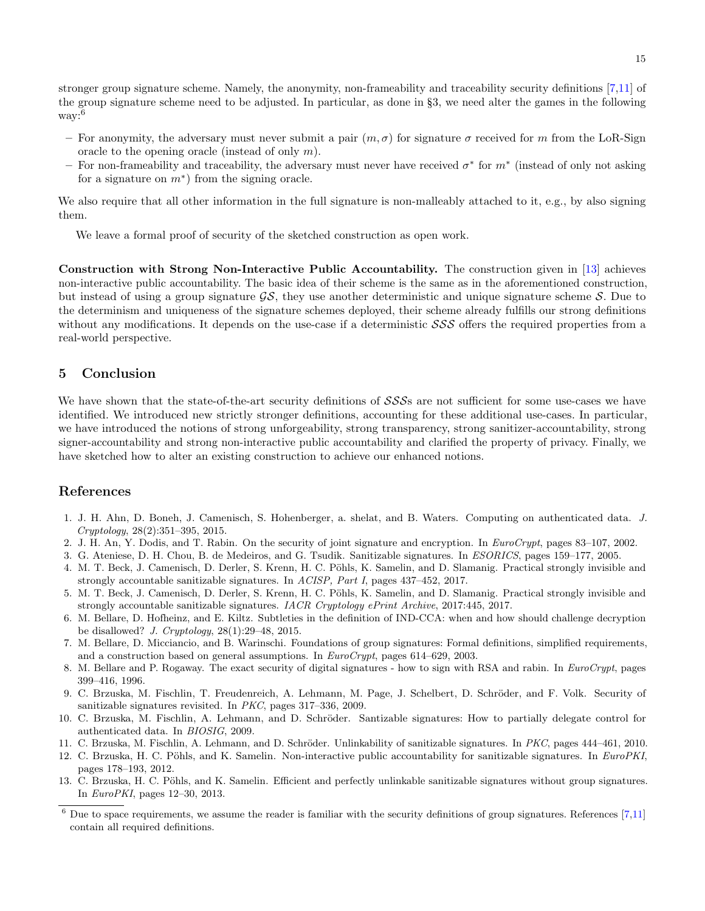stronger group signature scheme. Namely, the anonymity, non-frameability and traceability security definitions [\[7](#page-14-13)[,11\]](#page-14-2) of the group signature scheme need to be adjusted. In particular, as done in §[3,](#page-4-0) we need alter the games in the following  $\text{wav:}^6$  $\text{wav:}^6$ 

- For anonymity, the adversary must never submit a pair  $(m, \sigma)$  for signature  $\sigma$  received for m from the LoR-Sign oracle to the opening oracle (instead of only  $m$ ).
- For non-frameability and traceability, the adversary must never have received  $\sigma^*$  for  $m^*$  (instead of only not asking for a signature on  $m^*$ ) from the signing oracle.

We also require that all other information in the full signature is non-malleably attached to it, e.g., by also signing them.

We leave a formal proof of security of the sketched construction as open work.

Construction with Strong Non-Interactive Public Accountability. The construction given in [\[13\]](#page-14-4) achieves non-interactive public accountability. The basic idea of their scheme is the same as in the aforementioned construction, but instead of using a group signature  $\mathcal{G}\mathcal{S}$ , they use another deterministic and unique signature scheme  $\mathcal{S}$ . Due to the determinism and uniqueness of the signature schemes deployed, their scheme already fulfills our strong definitions without any modifications. It depends on the use-case if a deterministic  $\mathcal{S}\mathcal{S}$  offers the required properties from a real-world perspective.

# <span id="page-14-5"></span>5 Conclusion

We have shown that the state-of-the-art security definitions of  $SSS$ s are not sufficient for some use-cases we have identified. We introduced new strictly stronger definitions, accounting for these additional use-cases. In particular, we have introduced the notions of strong unforgeability, strong transparency, strong sanitizer-accountability, strong signer-accountability and strong non-interactive public accountability and clarified the property of privacy. Finally, we have sketched how to alter an existing construction to achieve our enhanced notions.

## References

- <span id="page-14-9"></span>1. J. H. Ahn, D. Boneh, J. Camenisch, S. Hohenberger, a. shelat, and B. Waters. Computing on authenticated data. J. Cryptology, 28(2):351–395, 2015.
- <span id="page-14-7"></span>2. J. H. An, Y. Dodis, and T. Rabin. On the security of joint signature and encryption. In EuroCrypt, pages 83–107, 2002.
- <span id="page-14-1"></span>3. G. Ateniese, D. H. Chou, B. de Medeiros, and G. Tsudik. Sanitizable signatures. In ESORICS, pages 159–177, 2005.
- <span id="page-14-10"></span>4. M. T. Beck, J. Camenisch, D. Derler, S. Krenn, H. C. Pöhls, K. Samelin, and D. Slamanig. Practical strongly invisible and strongly accountable sanitizable signatures. In ACISP, Part I, pages 437–452, 2017.
- <span id="page-14-11"></span>5. M. T. Beck, J. Camenisch, D. Derler, S. Krenn, H. C. Pöhls, K. Samelin, and D. Slamanig. Practical strongly invisible and strongly accountable sanitizable signatures. IACR Cryptology ePrint Archive, 2017:445, 2017.
- <span id="page-14-12"></span>6. M. Bellare, D. Hofheinz, and E. Kiltz. Subtleties in the definition of IND-CCA: when and how should challenge decryption be disallowed? J. Cryptology, 28(1):29–48, 2015.
- <span id="page-14-13"></span>7. M. Bellare, D. Micciancio, and B. Warinschi. Foundations of group signatures: Formal definitions, simplified requirements, and a construction based on general assumptions. In EuroCrypt, pages 614–629, 2003.
- <span id="page-14-0"></span>8. M. Bellare and P. Rogaway. The exact security of digital signatures - how to sign with RSA and rabin. In EuroCrypt, pages 399–416, 1996.
- <span id="page-14-6"></span>9. C. Brzuska, M. Fischlin, T. Freudenreich, A. Lehmann, M. Page, J. Schelbert, D. Schröder, and F. Volk. Security of sanitizable signatures revisited. In PKC, pages 317–336, 2009.
- <span id="page-14-8"></span>10. C. Brzuska, M. Fischlin, A. Lehmann, and D. Schröder. Santizable signatures: How to partially delegate control for authenticated data. In BIOSIG, 2009.
- <span id="page-14-2"></span>11. C. Brzuska, M. Fischlin, A. Lehmann, and D. Schröder. Unlinkability of sanitizable signatures. In PKC, pages 444–461, 2010.
- <span id="page-14-3"></span>12. C. Brzuska, H. C. Pöhls, and K. Samelin. Non-interactive public accountability for sanitizable signatures. In EuroPKI, pages 178–193, 2012.
- <span id="page-14-4"></span>13. C. Brzuska, H. C. Pöhls, and K. Samelin. Efficient and perfectly unlinkable sanitizable signatures without group signatures. In EuroPKI, pages 12–30, 2013.

<span id="page-14-14"></span> $6$  Due to space requirements, we assume the reader is familiar with the security definitions of group signatures. References  $[7,11]$  $[7,11]$ contain all required definitions.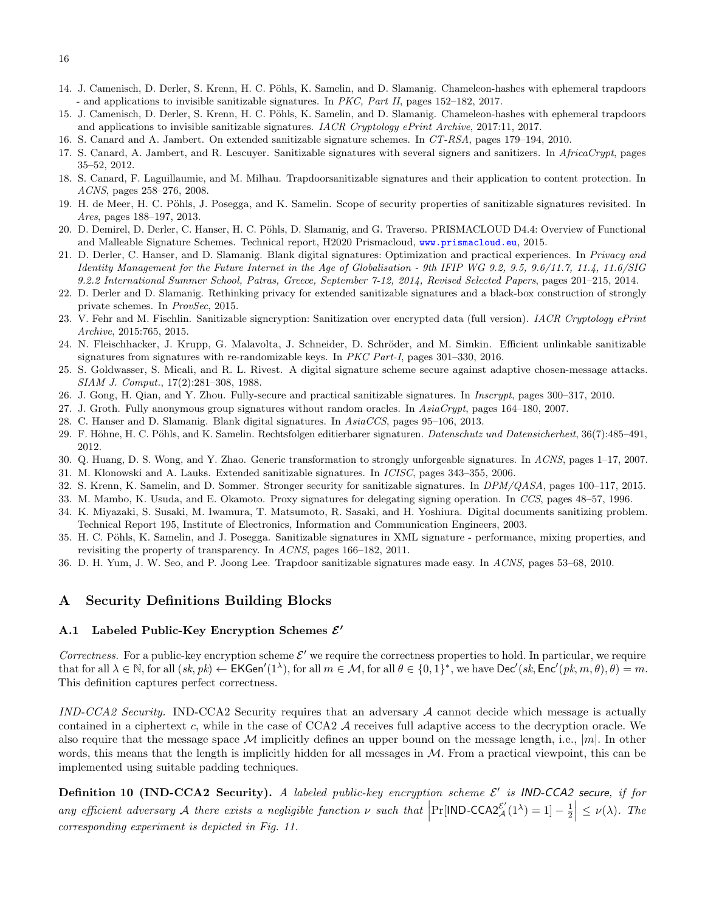- <span id="page-15-20"></span>14. J. Camenisch, D. Derler, S. Krenn, H. C. Pöhls, K. Samelin, and D. Slamanig. Chameleon-hashes with ephemeral trapdoors - and applications to invisible sanitizable signatures. In PKC, Part II, pages 152–182, 2017.
- <span id="page-15-21"></span>15. J. Camenisch, D. Derler, S. Krenn, H. C. Pöhls, K. Samelin, and D. Slamanig. Chameleon-hashes with ephemeral trapdoors and applications to invisible sanitizable signatures. IACR Cryptology ePrint Archive, 2017:11, 2017.
- <span id="page-15-9"></span>16. S. Canard and A. Jambert. On extended sanitizable signature schemes. In CT-RSA, pages 179–194, 2010.
- <span id="page-15-14"></span>17. S. Canard, A. Jambert, and R. Lescuyer. Sanitizable signatures with several signers and sanitizers. In AfricaCrypt, pages 35–52, 2012.
- <span id="page-15-12"></span>18. S. Canard, F. Laguillaumie, and M. Milhau. Trapdoorsanitizable signatures and their application to content protection. In ACNS, pages 258–276, 2008.
- <span id="page-15-16"></span>19. H. de Meer, H. C. Pöhls, J. Posegga, and K. Samelin. Scope of security properties of sanitizable signatures revisited. In Ares, pages 188–197, 2013.
- <span id="page-15-18"></span>20. D. Demirel, D. Derler, C. Hanser, H. C. Pöhls, D. Slamanig, and G. Traverso. PRISMACLOUD D4.4: Overview of Functional and Malleable Signature Schemes. Technical report, H2020 Prismacloud, <www.prismacloud.eu>, 2015.
- <span id="page-15-2"></span>21. D. Derler, C. Hanser, and D. Slamanig. Blank digital signatures: Optimization and practical experiences. In Privacy and Identity Management for the Future Internet in the Age of Globalisation - 9th IFIP WG 9.2, 9.5, 9.6/11.7, 11.4, 11.6/SIG 9.2.2 International Summer School, Patras, Greece, September 7-12, 2014, Revised Selected Papers, pages 201–215, 2014.
- <span id="page-15-10"></span>22. D. Derler and D. Slamanig. Rethinking privacy for extended sanitizable signatures and a black-box construction of strongly private schemes. In ProvSec, 2015.
- <span id="page-15-15"></span>23. V. Fehr and M. Fischlin. Sanitizable signcryption: Sanitization over encrypted data (full version). IACR Cryptology ePrint Archive, 2015:765, 2015.
- <span id="page-15-7"></span>24. N. Fleischhacker, J. Krupp, G. Malavolta, J. Schneider, D. Schröder, and M. Simkin. Efficient unlinkable sanitizable signatures from signatures with re-randomizable keys. In PKC Part-I, pages 301–330, 2016.
- <span id="page-15-0"></span>25. S. Goldwasser, S. Micali, and R. L. Rivest. A digital signature scheme secure against adaptive chosen-message attacks. SIAM J. Comput., 17(2):281–308, 1988.
- <span id="page-15-8"></span>26. J. Gong, H. Qian, and Y. Zhou. Fully-secure and practical sanitizable signatures. In Inscrypt, pages 300–317, 2010.
- <span id="page-15-22"></span>27. J. Groth. Fully anonymous group signatures without random oracles. In AsiaCrypt, pages 164–180, 2007.
- <span id="page-15-3"></span>28. C. Hanser and D. Slamanig. Blank digital signatures. In AsiaCCS, pages 95–106, 2013.
- <span id="page-15-5"></span>29. F. Höhne, H. C. Pöhls, and K. Samelin. Rechtsfolgen editierbarer signaturen. Datenschutz und Datensicherheit, 36(7):485–491, 2012.
- <span id="page-15-6"></span>30. Q. Huang, D. S. Wong, and Y. Zhao. Generic transformation to strongly unforgeable signatures. In ACNS, pages 1–17, 2007.
- <span id="page-15-11"></span>31. M. Klonowski and A. Lauks. Extended sanitizable signatures. In ICISC, pages 343–355, 2006.
- <span id="page-15-23"></span>32. S. Krenn, K. Samelin, and D. Sommer. Stronger security for sanitizable signatures. In DPM/QASA, pages 100–117, 2015.
- <span id="page-15-17"></span>33. M. Mambo, K. Usuda, and E. Okamoto. Proxy signatures for delegating signing operation. In CCS, pages 48–57, 1996.
- <span id="page-15-1"></span>34. K. Miyazaki, S. Susaki, M. Iwamura, T. Matsumoto, R. Sasaki, and H. Yoshiura. Digital documents sanitizing problem. Technical Report 195, Institute of Electronics, Information and Communication Engineers, 2003.
- <span id="page-15-4"></span>35. H. C. Pöhls, K. Samelin, and J. Posegga. Sanitizable signatures in XML signature - performance, mixing properties, and revisiting the property of transparency. In ACNS, pages 166–182, 2011.
- <span id="page-15-13"></span>36. D. H. Yum, J. W. Seo, and P. Joong Lee. Trapdoor sanitizable signatures made easy. In ACNS, pages 53–68, 2010.

# <span id="page-15-19"></span>A Security Definitions Building Blocks

# A.1 Labeled Public-Key Encryption Schemes  $\mathcal{E}'$

Correctness. For a public-key encryption scheme  $\mathcal{E}'$  we require the correctness properties to hold. In particular, we require that for all  $\lambda \in \mathbb{N}$ , for all  $(sk, pk) \leftarrow \mathsf{EKGen}'(1^{\lambda})$ , for all  $m \in \mathcal{M}$ , for all  $\theta \in \{0, 1\}^*$ , we have  $\mathsf{Dec}'(sk, \mathsf{Enc}'(pk, m, \theta), \theta) = m$ . This definition captures perfect correctness.

IND-CCA2 Security. IND-CCA2 Security requires that an adversary A cannot decide which message is actually contained in a ciphertext c, while in the case of  $CCA2$  A receives full adaptive access to the decryption oracle. We also require that the message space M implicitly defines an upper bound on the message length, i.e.,  $|m|$ . In other words, this means that the length is implicitly hidden for all messages in  $M$ . From a practical viewpoint, this can be implemented using suitable padding techniques.

Definition 10 (IND-CCA2 Security). A labeled public-key encryption scheme  $\mathcal{E}'$  is IND-CCA2 secure, if for any efficient adversary A there exists a negligible function  $\nu$  such that  $\left|\Pr[\mathsf{IND}\text{-}\mathsf{CCA2}_\mathcal{A}^{\mathcal{E}'}(1^\lambda)=1]-\frac{1}{2}\right|\leq \nu(\lambda)$ . The corresponding experiment is depicted in Fig. [11.](#page-16-0)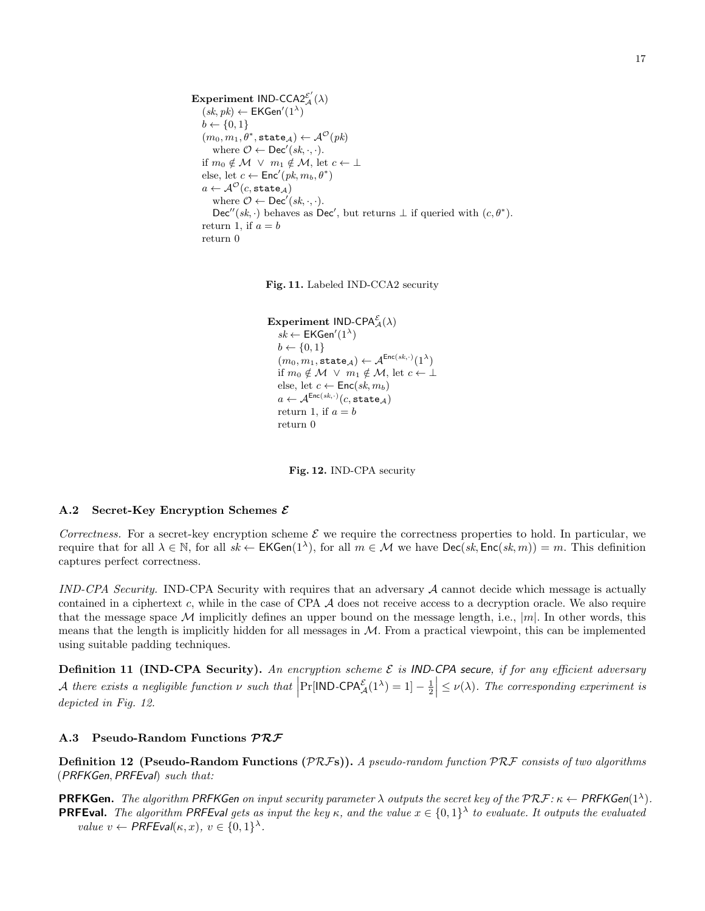Experiment IND-CCA2 $_{\mathcal{A}}^{\mathcal{E}^{\prime}}(\lambda)$  $(sk, pk) \leftarrow$  EKGen' $(1^{\lambda})$  $b \leftarrow \{0, 1\}$  $(m_0, m_1, \theta^*,$ state $\mathcal{A}) \leftarrow \mathcal{A}^{\mathcal{O}}(pk)$ where  $\mathcal{O} \leftarrow \mathsf{Dec}'(sk, \cdot, \cdot)$ . if  $m_0 \notin \mathcal{M}$  ∨  $m_1 \notin \mathcal{M}$ , let  $c \leftarrow \perp$ else, let  $c \leftarrow \mathsf{Enc}'(pk, m_b, \theta^*)$  $a \leftarrow \mathcal{A}^{\mathcal{O}}(c, \mathtt{state}_{\mathcal{A}})$ where  $\mathcal{O} \leftarrow \mathsf{Dec}'(sk, \cdot, \cdot).$ Dec"(sk, ·) behaves as Dec', but returns  $\perp$  if queried with  $(c, \theta^*)$ . return 1, if  $a = b$ return 0

<span id="page-16-0"></span>Fig. 11. Labeled IND-CCA2 security

```
Experiment IND-CPA_{\mathcal{A}}^{\mathcal{E}}(\lambda)sk \leftarrow EKGen'(1^{\lambda})b \leftarrow \{0, 1\}(m_0, m_1, \mathtt{state}_{\mathcal{A}}) \leftarrow \mathcal{A}^{\mathsf{Enc}(sk, \cdot)}(1^{\lambda})if m_0 \notin \mathcal{M} ∨ m_1 \notin \mathcal{M}, let c \leftarrow \perpelse, let c \leftarrow \textsf{Enc}(sk, m_b)a \leftarrow \mathcal{A}^{\mathsf{Enc}(sk, \cdot)}(c, \mathtt{state}_{\mathcal{A}})return 1, if a = breturn 0
```
<span id="page-16-1"></span>Fig. 12. IND-CPA security

#### A.2 Secret-Key Encryption Schemes  $\mathcal E$

Correctness. For a secret-key encryption scheme  $\mathcal E$  we require the correctness properties to hold. In particular, we require that for all  $\lambda \in \mathbb{N}$ , for all  $sk \leftarrow \mathsf{EKGen}(1^{\lambda})$ , for all  $m \in \mathcal{M}$  we have  $\mathsf{Dec}(sk, \mathsf{Enc}(sk, m)) = m$ . This definition captures perfect correctness.

IND-CPA Security. IND-CPA Security with requires that an adversary  $A$  cannot decide which message is actually contained in a ciphertext c, while in the case of CPA  $\cal{A}$  does not receive access to a decryption oracle. We also require that the message space M implicitly defines an upper bound on the message length, i.e.,  $|m|$ . In other words, this means that the length is implicitly hidden for all messages in  $M$ . From a practical viewpoint, this can be implemented using suitable padding techniques.

**Definition 11 (IND-CPA Security).** An encryption scheme  $\mathcal{E}$  is **IND-CPA** secure, if for any efficient adversary A there exists a negligible function  $\nu$  such that  $\left|\Pr[\mathsf{IND}\text{-}\mathsf{CPA}_\mathcal{A}^{\mathcal{E}}(1^\lambda)=1]-\frac{1}{2}\right|\leq \nu(\lambda)$ . The corresponding experiment is depicted in Fig. [12.](#page-16-1)

#### A.3 Pseudo-Random Functions PRF

**Definition 12 (Pseudo-Random Functions (PRFs)).** A pseudo-random function PRF consists of two algorithms (PRFKGen, PRFEval) such that:

**PRFKGen.** The algorithm PRFKGen on input security parameter  $\lambda$  outputs the secret key of the PRF:  $\kappa \leftarrow$  PRFKGen(1<sup> $\lambda$ </sup>). **PRFEval.** The algorithm PRFEval gets as input the key  $\kappa$ , and the value  $x \in \{0,1\}^{\lambda}$  to evaluate. It outputs the evaluated value  $v \leftarrow \textit{PRFEval}(\kappa, x), v \in \{0, 1\}^{\lambda}.$